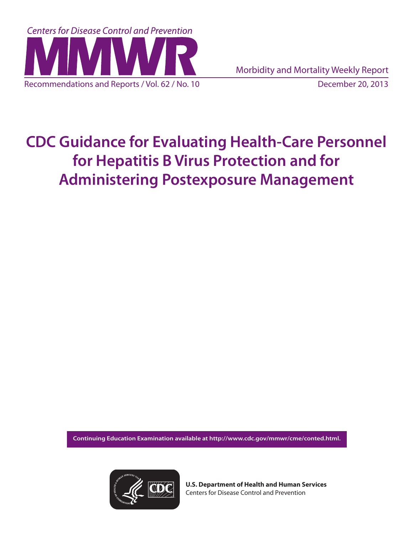

# **CDC Guidance for Evaluating Health-Care Personnel for Hepatitis B Virus Protection and for Administering Postexposure Management**

**Continuing Education Examination available at [http://www.cdc.gov/mmwr/cme/conted.html.](http://www.cdc.gov/mmwr/cme/conted.html)** 



**U.S. Department of Health and Human Services** Centers for Disease Control and Prevention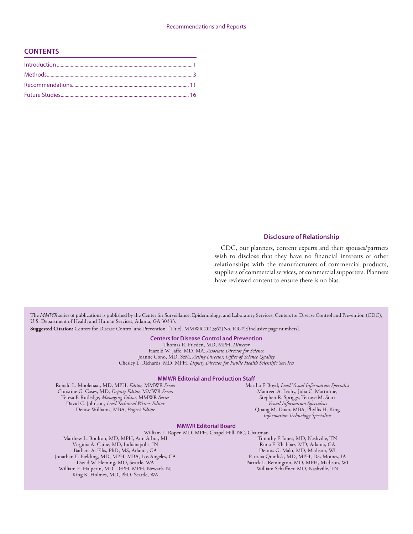#### Recommendations and Reports

#### **CONTENTS**

#### **Disclosure of Relationship**

CDC, our planners, content experts and their spouses/partners wish to disclose that they have no financial interests or other relationships with the manufacturers of commercial products, suppliers of commercial services, or commercial supporters. Planners have reviewed content to ensure there is no bias.

The *MMWR* series of publications is published by the Center for Surveillance, Epidemiology, and Laboratory Services, Centers for Disease Control and Prevention (CDC), U.S. Department of Health and Human Services, Atlanta, GA 30333.

**Suggested Citation:** Centers for Disease Control and Prevention. [Title]. MMWR 2013;62(No. RR-#):[inclusive page numbers].

#### **Centers for Disease Control and Prevention**

Thomas R. Frieden, MD, MPH, *Director* Harold W. Jaffe, MD, MA, *Associate Director for Science* Joanne Cono, MD, ScM, *Acting Director, Office of Science Quality*  Chesley L. Richards, MD, MPH, *Deputy Director for Public Health Scientific Services*

#### **MMWR Editorial and Production Staff**

Ronald L. Moolenaar, MD, MPH, *Editor,* MMWR *Series* Christine G. Casey, MD, *Deputy Editor,* MMWR *Series* Teresa F. Rutledge, *Managing Editor,* MMWR *Series* David C. Johnson, *Lead Technical Writer-Editor* Denise Williams, MBA, *Project Editor*

King K. Holmes, MD, PhD, Seattle, WA

Martha F. Boyd, *Lead Visual Information Specialist* Maureen A. Leahy, Julia C. Martinroe, Stephen R. Spriggs, Terraye M. Starr *Visual Information Specialists* Quang M. Doan, MBA, Phyllis H. King *Information Technology Specialists*

#### **MMWR Editorial Board**

William L. Roper, MD, MPH, Chapel Hill, NC, Chairman Matthew L. Boulton, MD, MPH, Ann Arbor, MI Virginia A. Caine, MD, Indianapolis, IN Barbara A. Ellis, PhD, MS, Atlanta, GA Jonathan E. Fielding, MD, MPH, MBA, Los Angeles, CA David W. Fleming, MD, Seattle, WA William E. Halperin, MD, DrPH, MPH, Newark, NJ

Timothy F. Jones, MD, Nashville, TN Rima F. Khabbaz, MD, Atlanta, GA Dennis G. Maki, MD, Madison, WI Patricia Quinlisk, MD, MPH, Des Moines, IA Patrick L. Remington, MD, MPH, Madison, WI William Schaffner, MD, Nashville, TN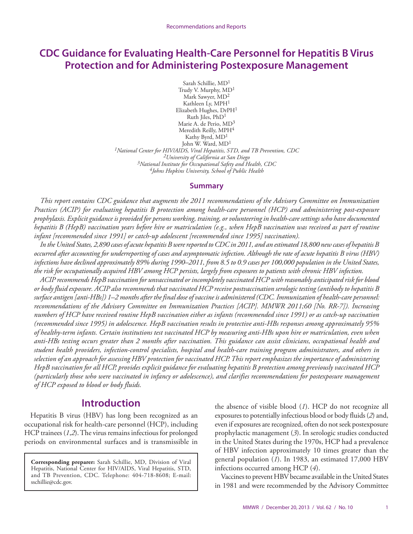# <span id="page-2-0"></span>**CDC Guidance for Evaluating Health-Care Personnel for Hepatitis B Virus Protection and for Administering Postexposure Management**

Sarah Schillie, MD1 Trudy V. Murphy, MD1 Mark Sawyer, MD2 Kathleen Ly, MPH1 Elizabeth Hughes, DrPH1 Ruth Jiles, PhD1 Marie A. de Perio, MD3 Meredith Reilly, MPH<sup>4</sup> Kathy Byrd, MD1 John W. Ward, MD1 *1National Center for HIV/AIDS, Viral Hepatitis, STD, and TB Prevention, CDC 2University of California at San Diego 3National Institute for Occupational Safety and Health, CDC 4Johns Hopkins University, School of Public Health*

#### **Summary**

*This report contains CDC guidance that augments the 2011 recommendations of the Advisory Committee on Immunization Practices (ACIP) for evaluating hepatitis B protection among health-care personnel (HCP) and administering post-exposure prophylaxis. Explicit guidance is provided for persons working, training, or volunteering in health-care settings who have documented hepatitis B (HepB) vaccination years before hire or matriculation (e.g., when HepB vaccination was received as part of routine infant [recommended since 1991] or catch-up adolescent [recommended since 1995] vaccination).*

*In the United States, 2,890 cases of acute hepatitis B were reported to CDC in 2011, and an estimated 18,800 new cases of hepatitis B occurred after accounting for underreporting of cases and asymptomatic infection. Although the rate of acute hepatitis B virus (HBV) infections have declined approximately 89% during 1990–2011, from 8.5 to 0.9 cases per 100,000 population in the United States, the risk for occupationally acquired HBV among HCP persists, largely from exposures to patients with chronic HBV infection.*

*ACIP recommends HepB vaccination for unvaccinated or incompletely vaccinated HCP with reasonably anticipated risk for blood or body fluid exposure. ACIP also recommends that vaccinated HCP receive postvaccination serologic testing (antibody to hepatitis B surface antigen [anti-HBs]) 1–2 months after the final dose of vaccine is administered (CDC. Immunization of health-care personnel: recommendations of the Advisory Committee on Immunization Practices [ACIP]. MMWR 2011;60 [No. RR-7]). Increasing numbers of HCP have received routine HepB vaccination either as infants (recommended since 1991) or as catch-up vaccination (recommended since 1995) in adolescence. HepB vaccination results in protective anti-HBs responses among approximately 95% of healthy-term infants. Certain institutions test vaccinated HCP by measuring anti-HBs upon hire or matriculation, even when anti-HBs testing occurs greater than 2 months after vaccination. This guidance can assist clinicians, occupational health and student health providers, infection-control specialists, hospital and health-care training program administrators, and others in selection of an approach for assessing HBV protection for vaccinated HCP. This report emphasizes the importance of administering HepB vaccination for all HCP, provides explicit guidance for evaluating hepatitis B protection among previously vaccinated HCP (particularly those who were vaccinated in infancy or adolescence), and clarifies recommendations for postexposure management of HCP exposed to blood or body fluids.*

# **Introduction**

Hepatitis B virus (HBV) has long been recognized as an occupational risk for health-care personnel (HCP), including HCP trainees (*1*,*2*). The virus remains infectious for prolonged periods on environmental surfaces and is transmissible in

**Corresponding preparer:** Sarah Schillie, MD, Division of Viral Hepatitis, National Center for HIV/AIDS, Viral Hepatitis, STD, and TB Prevention, CDC. Telephone: 404-718-8608; E-mail: [sschillie@cdc.gov](mailto:sschillie@cdc.gov).

the absence of visible blood (*1*). HCP do not recognize all exposures to potentially infectious blood or body fluids (*2*) and, even if exposures are recognized, often do not seek postexposure prophylactic management (*3*). In serologic studies conducted in the United States during the 1970s, HCP had a prevalence of HBV infection approximately 10 times greater than the general population (*1*). In 1983, an estimated 17,000 HBV infections occurred among HCP (*4*).

Vaccines to prevent HBV became available in the United States in 1981 and were recommended by the Advisory Committee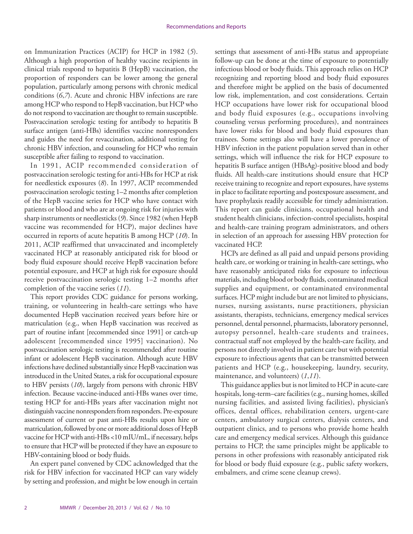on Immunization Practices (ACIP) for HCP in 1982 (*5*). Although a high proportion of healthy vaccine recipients in clinical trials respond to hepatitis B (HepB) vaccination, the proportion of responders can be lower among the general population, particularly among persons with chronic medical conditions (*6*,*7*). Acute and chronic HBV infections are rare among HCP who respond to HepB vaccination, but HCP who do not respond to vaccination are thought to remain susceptible. Postvaccination serologic testing for antibody to hepatitis B surface antigen (anti-HBs) identifies vaccine nonresponders and guides the need for revaccination, additional testing for chronic HBV infection, and counseling for HCP who remain susceptible after failing to respond to vaccination.

In 1991, ACIP recommended consideration of postvaccination serologic testing for anti-HBs for HCP at risk for needlestick exposures (*8*). In 1997, ACIP recommended postvaccination serologic testing 1–2 months after completion of the HepB vaccine series for HCP who have contact with patients or blood and who are at ongoing risk for injuries with sharp instruments or needlesticks (*9*). Since 1982 (when HepB vaccine was recommended for HCP), major declines have occurred in reports of acute hepatitis B among HCP (*10*). In 2011, ACIP reaffirmed that unvaccinated and incompletely vaccinated HCP at reasonably anticipated risk for blood or body fluid exposure should receive HepB vaccination before potential exposure, and HCP at high risk for exposure should receive postvaccination serologic testing 1–2 months after completion of the vaccine series (*11*).

This report provides CDC guidance for persons working, training, or volunteering in health-care settings who have documented HepB vaccination received years before hire or matriculation (e.g., when HepB vaccination was received as part of routine infant [recommended since 1991] or catch-up adolescent [recommended since 1995] vaccination). No postvaccination serologic testing is recommended after routine infant or adolescent HepB vaccination. Although acute HBV infections have declined substantially since HepB vaccination was introduced in the United States, a risk for occupational exposure to HBV persists (*10*), largely from persons with chronic HBV infection. Because vaccine-induced anti-HBs wanes over time, testing HCP for anti-HBs years after vaccination might not distinguish vaccine nonresponders from responders. Pre-exposure assessment of current or past anti-HBs results upon hire or matriculation, followed by one or more additional doses of HepB vaccine for HCP with anti-HBs <10 mIU/mL, if necessary, helps to ensure that HCP will be protected if they have an exposure to HBV-containing blood or body fluids.

An expert panel convened by CDC acknowledged that the risk for HBV infection for vaccinated HCP can vary widely by setting and profession, and might be low enough in certain

settings that assessment of anti-HBs status and appropriate follow-up can be done at the time of exposure to potentially infectious blood or body fluids. This approach relies on HCP recognizing and reporting blood and body fluid exposures and therefore might be applied on the basis of documented low risk, implementation, and cost considerations. Certain HCP occupations have lower risk for occupational blood and body fluid exposures (e.g., occupations involving counseling versus performing procedures), and nontrainees have lower risks for blood and body fluid exposures than trainees. Some settings also will have a lower prevalence of HBV infection in the patient population served than in other settings, which will influence the risk for HCP exposure to hepatitis B surface antigen (HBsAg)-positive blood and body fluids. All health-care institutions should ensure that HCP receive training to recognize and report exposures, have systems in place to facilitate reporting and postexposure assessment, and have prophylaxis readily accessible for timely administration. This report can guide clinicians, occupational health and student health clinicians, infection-control specialists, hospital and health-care training program administrators, and others in selection of an approach for assessing HBV protection for vaccinated HCP.

HCPs are defined as all paid and unpaid persons providing health care, or working or training in health-care settings, who have reasonably anticipated risks for exposure to infectious materials, including blood or body fluids, contaminated medical supplies and equipment, or contaminated environmental surfaces. HCP might include but are not limited to physicians, nurses, nursing assistants, nurse practitioners, physician assistants, therapists, technicians, emergency medical services personnel, dental personnel, pharmacists, laboratory personnel, autopsy personnel, health-care students and trainees, contractual staff not employed by the health-care facility, and persons not directly involved in patient care but with potential exposure to infectious agents that can be transmitted between patients and HCP (e.g., housekeeping, laundry, security, maintenance, and volunteers) (*1*,*11*).

This guidance applies but is not limited to HCP in acute-care hospitals, long-term–care facilities (e.g., nursing homes, skilled nursing facilities, and assisted living facilities), physician's offices, dental offices, rehabilitation centers, urgent-care centers, ambulatory surgical centers, dialysis centers, and outpatient clinics, and to persons who provide home health care and emergency medical services. Although this guidance pertains to HCP, the same principles might be applicable to persons in other professions with reasonably anticipated risk for blood or body fluid exposure (e.g., public safety workers, embalmers, and crime scene cleanup crews).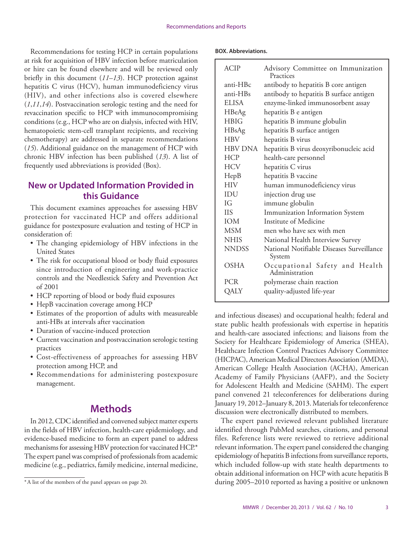<span id="page-4-0"></span>Recommendations for testing HCP in certain populations at risk for acquisition of HBV infection before matriculation or hire can be found elsewhere and will be reviewed only briefly in this document (*11*–*13*). HCP protection against hepatitis C virus (HCV), human immunodeficiency virus (HIV), and other infections also is covered elsewhere (*1*,*11*,*14*). Postvaccination serologic testing and the need for revaccination specific to HCP with immunocompromising conditions (e.g., HCP who are on dialysis, infected with HIV, hematopoietic stem-cell transplant recipients, and receiving chemotherapy) are addressed in separate recommendations (*15*). Additional guidance on the management of HCP with chronic HBV infection has been published (*13*). A list of frequently used abbreviations is provided (Box).

# **New or Updated Information Provided in this Guidance**

This document examines approaches for assessing HBV protection for vaccinated HCP and offers additional guidance for postexposure evaluation and testing of HCP in consideration of:

- The changing epidemiology of HBV infections in the United States
- The risk for occupational blood or body fluid exposures since introduction of engineering and work-practice controls and the Needlestick Safety and Prevention Act of 2001
- HCP reporting of blood or body fluid exposures
- HepB vaccination coverage among HCP
- Estimates of the proportion of adults with measureable anti-HBs at intervals after vaccination
- Duration of vaccine-induced protection
- Current vaccination and postvaccination serologic testing practices
- • Cost-effectiveness of approaches for assessing HBV protection among HCP, and
- • Recommendations for administering postexposure management.

# **Methods**

In 2012, CDC identified and convened subject matter experts in the fields of HBV infection, health-care epidemiology, and evidence-based medicine to form an expert panel to address mechanisms for assessing HBV protection for vaccinated HCP.\* The expert panel was comprised of professionals from academic medicine (e.g., pediatrics, family medicine, internal medicine,

#### **BOX. Abbreviations.**

| <b>ACIP</b>  | Advisory Committee on Immunization<br>Practices     |  |  |  |  |
|--------------|-----------------------------------------------------|--|--|--|--|
| anti-HBc     | antibody to hepatitis B core antigen                |  |  |  |  |
| anti-HBs     | antibody to hepatitis B surface antigen             |  |  |  |  |
| <b>ELISA</b> | enzyme-linked immunosorbent assay                   |  |  |  |  |
| HBeAg        | hepatitis B e antigen                               |  |  |  |  |
| <b>HBIG</b>  | hepatitis B immune globulin                         |  |  |  |  |
| HBsAg        | hepatitis B surface antigen                         |  |  |  |  |
| <b>HBV</b>   | hepatitis B virus                                   |  |  |  |  |
| HBV DNA      | hepatitis B virus deoxyribonucleic acid             |  |  |  |  |
| <b>HCP</b>   | health-care personnel                               |  |  |  |  |
| <b>HCV</b>   | hepatitis C virus                                   |  |  |  |  |
| HepB         | hepatitis B vaccine                                 |  |  |  |  |
| <b>HIV</b>   | human immunodeficiency virus                        |  |  |  |  |
| IDU          | injection drug use                                  |  |  |  |  |
| IG           | immune globulin                                     |  |  |  |  |
| <b>IIS</b>   | Immunization Information System                     |  |  |  |  |
| <b>IOM</b>   | Institute of Medicine                               |  |  |  |  |
| MSM          | men who have sex with men                           |  |  |  |  |
| <b>NHIS</b>  | National Health Interview Survey                    |  |  |  |  |
| <b>NNDSS</b> | National Notifiable Diseases Surveillance<br>System |  |  |  |  |
| <b>OSHA</b>  | Occupational Safety and Health<br>Administration    |  |  |  |  |
| PCR          | polymerase chain reaction                           |  |  |  |  |
| QALY         | quality-adjusted life-year                          |  |  |  |  |

and infectious diseases) and occupational health; federal and state public health professionals with expertise in hepatitis and health-care associated infections; and liaisons from the Society for Healthcare Epidemiology of America (SHEA), Healthcare Infection Control Practices Advisory Committee (HICPAC), American Medical Directors Association (AMDA), American College Health Association (ACHA), American Academy of Family Physicians (AAFP), and the Society for Adolescent Health and Medicine (SAHM). The expert panel convened 21 teleconferences for deliberations during January 19, 2012–January 8, 2013. Materials for teleconference discussion were electronically distributed to members.

The expert panel reviewed relevant published literature identified through PubMed searches, citations, and personal files. Reference lists were reviewed to retrieve additional relevant information. The expert panel considered the changing epidemiology of hepatitis B infections from surveillance reports, which included follow-up with state health departments to obtain additional information on HCP with acute hepatitis B during 2005–2010 reported as having a positive or unknown

<sup>\*</sup>A list of the members of the panel appears on page 20.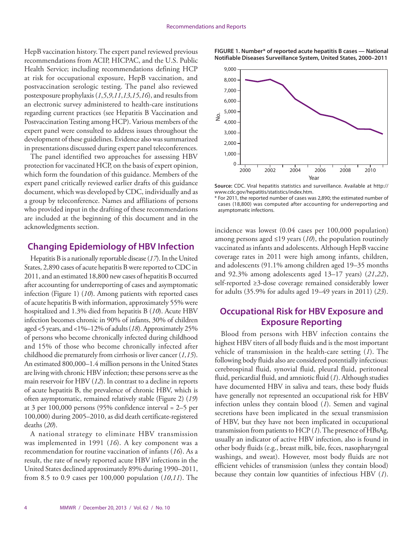HepB vaccination history. The expert panel reviewed previous recommendations from ACIP, HICPAC, and the U.S. Public Health Service; including recommendations defining HCP at risk for occupational exposure, HepB vaccination, and postvaccination serologic testing. The panel also reviewed postexposure prophylaxis (*1*,*5*,*9*,*11*,*13*,*15*,*16*), and results from an electronic survey administered to health-care institutions regarding current practices (see Hepatitis B Vaccination and Postvaccination Testing among HCP). Various members of the expert panel were consulted to address issues throughout the development of these guidelines. Evidence also was summarized in presentations discussed during expert panel teleconferences.

The panel identified two approaches for assessing HBV protection for vaccinated HCP, on the basis of expert opinion, which form the foundation of this guidance. Members of the expert panel critically reviewed earlier drafts of this guidance document, which was developed by CDC, individually and as a group by teleconference. Names and affiliations of persons who provided input in the drafting of these recommendations are included at the beginning of this document and in the acknowledgments section.

## **Changing Epidemiology of HBV Infection**

Hepatitis B is a nationally reportable disease (*17*). In the United States, 2,890 cases of acute hepatitis B were reported to CDC in 2011, and an estimated 18,800 new cases of hepatitis B occurred after accounting for underreporting of cases and asymptomatic infection (Figure 1) (*10*). Among patients with reported cases of acute hepatitis B with information, approximately 55% were hospitalized and 1.3% died from hepatitis B (*10*). Acute HBV infection becomes chronic in 90% of infants, 30% of children aged <5 years, and <1%–12% of adults (*18*). Approximately 25% of persons who become chronically infected during childhood and 15% of those who become chronically infected after childhood die prematurely from cirrhosis or liver cancer (*1,15*). An estimated 800,000–1.4 million persons in the United States are living with chronic HBV infection; these persons serve as the main reservoir for HBV (*12*). In contrast to a decline in reports of acute hepatitis B, the prevalence of chronic HBV, which is often asymptomatic, remained relatively stable (Figure 2) (*19*) at 3 per 100,000 persons (95% confidence interval = 2–5 per 100,000) during 2005–2010, as did death certificate-registered deaths (*20*).

A national strategy to eliminate HBV transmission was implemented in 1991 (*16*). A key component was a recommendation for routine vaccination of infants (*16*). As a result, the rate of newly reported acute HBV infections in the United States declined approximately 89% during 1990–2011, from 8.5 to 0.9 cases per 100,000 population (*10*,*11*). The





**Source:** CDC. Viral hepatitis statistics and surveillance. Available at [http://](http://www.cdc.gov/hepatitis/statistics/index.htm) [www.cdc.gov/hepatitis/statistics/index.htm](http://www.cdc.gov/hepatitis/statistics/index.htm).

\* For 2011, the reported number of cases was 2,890; the estimated number of cases (18,800) was computed after accounting for underreporting and asymptomatic infections.

incidence was lowest (0.04 cases per 100,000 population) among persons aged ≤19 years (*10*), the population routinely vaccinated as infants and adolescents. Although HepB vaccine coverage rates in 2011 were high among infants, children, and adolescents (91.1% among children aged 19–35 months and 92.3% among adolescents aged 13–17 years) (*21*,*22*), self-reported ≥3-dose coverage remained considerably lower for adults (35.9% for adults aged 19–49 years in 2011) (*23*).

# **Occupational Risk for HBV Exposure and Exposure Reporting**

Blood from persons with HBV infection contains the highest HBV titers of all body fluids and is the most important vehicle of transmission in the health-care setting (*1*). The following body fluids also are considered potentially infectious: cerebrospinal fluid, synovial fluid, pleural fluid, peritoneal fluid, pericardial fluid, and amniotic fluid (*1*). Although studies have documented HBV in saliva and tears, these body fluids have generally not represented an occupational risk for HBV infection unless they contain blood (*1*). Semen and vaginal secretions have been implicated in the sexual transmission of HBV, but they have not been implicated in occupational transmission from patients to HCP (*1*). The presence of HBsAg, usually an indicator of active HBV infection, also is found in other body fluids (e.g., breast milk, bile, feces, nasopharyngeal washings, and sweat). However, most body fluids are not efficient vehicles of transmission (unless they contain blood) because they contain low quantities of infectious HBV (*1*).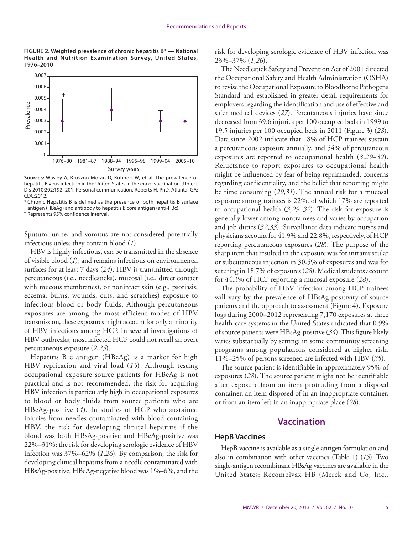**FIGURE 2. Weighted prevalence of chronic hepatitis B\* — National Health and Nutrition Examination Survey, United States, 1976–2010**



**Sources:** Wasley A, Kruszon-Moran D, Kuhnert W, et al. The prevalence of hepatitis B virus infection in the United States in the era of vaccination. J Infect Dis 2010;202:192–201. Personal communication. Roberts H, PhD. Atlanta, GA: CDC;2012.

\* Chronic Hepatitis B is defined as the presence of both hepatitis B surface antigen (HBsAg) and antibody to hepatitis B core antigen (anti-HBc).

† Represents 95% confidence interval.

Sputum, urine, and vomitus are not considered potentially infectious unless they contain blood (*1*).

HBV is highly infectious, can be transmitted in the absence of visible blood (*1*), and remains infectious on environmental surfaces for at least 7 days (*24*). HBV is transmitted through percutaneous (i.e., needlesticks), mucosal (i.e., direct contact with mucous membranes), or nonintact skin (e.g., psoriasis, eczema, burns, wounds, cuts, and scratches) exposure to infectious blood or body fluids. Although percutaneous exposures are among the most efficient modes of HBV transmission, these exposures might account for only a minority of HBV infections among HCP. In several investigations of HBV outbreaks, most infected HCP could not recall an overt percutaneous exposure (*2*,*25*).

Hepatitis B e antigen (HBeAg) is a marker for high HBV replication and viral load (*15*). Although testing occupational exposure source patients for HBeAg is not practical and is not recommended, the risk for acquiring HBV infection is particularly high in occupational exposures to blood or body fluids from source patients who are HBeAg-positive (*4*). In studies of HCP who sustained injuries from needles contaminated with blood containing HBV, the risk for developing clinical hepatitis if the blood was both HBsAg-positive and HBeAg-positive was 22%–31%; the risk for developing serologic evidence of HBV infection was 37%–62% (*1*,*26*). By comparison, the risk for developing clinical hepatitis from a needle contaminated with HBsAg-positive, HBeAg-negative blood was 1%–6%, and the

risk for developing serologic evidence of HBV infection was 23%–37% (*1*,*26*).

The Needlestick Safety and Prevention Act of 2001 directed the Occupational Safety and Health Administration (OSHA) to revise the Occupational Exposure to Bloodborne Pathogens Standard and established in greater detail requirements for employers regarding the identification and use of effective and safer medical devices (*27*). Percutaneous injuries have since decreased from 39.6 injuries per 100 occupied beds in 1999 to 19.5 injuries per 100 occupied beds in 2011 (Figure 3) (*28*). Data since 2002 indicate that 18% of HCP trainees sustain a percutaneous exposure annually, and 54% of percutaneous exposures are reported to occupational health (*3*,*29*–*32*). Reluctance to report exposures to occupational health might be influenced by fear of being reprimanded, concerns regarding confidentiality, and the belief that reporting might be time consuming (*29*,*31*). The annual risk for a mucosal exposure among trainees is 22%, of which 17% are reported to occupational health (*3*,*29*–*32*). The risk for exposure is generally lower among nontrainees and varies by occupation and job duties (*32*,*33*). Surveillance data indicate nurses and physicians account for 41.9% and 22.8%, respectively, of HCP reporting percutaneous exposures (*28*). The purpose of the sharp item that resulted in the exposure was for intramuscular or subcutaneous injection in 30.5% of exposures and was for suturing in 18.7% of exposures (*28*). Medical students account for 44.3% of HCP reporting a mucosal exposure (*28*).

The probability of HBV infection among HCP trainees will vary by the prevalence of HBsAg-positivity of source patients and the approach to assessment (Figure 4). Exposure logs during 2000–2012 representing 7,170 exposures at three health-care systems in the United States indicated that 0.9% of source patients were HBsAg-positive (*34*). This figure likely varies substantially by setting; in some community screening programs among populations considered at higher risk, 11%–25% of persons screened are infected with HBV (*35*).

The source patient is identifiable in approximately 95% of exposures (*28*). The source patient might not be identifiable after exposure from an item protruding from a disposal container, an item disposed of in an inappropriate container, or from an item left in an inappropriate place (*28*).

## **Vaccination**

#### **HepB Vaccines**

HepB vaccine is available as a single-antigen formulation and also in combination with other vaccines (Table 1) (*15*). Two single-antigen recombinant HBsAg vaccines are available in the United States: Recombivax HB (Merck and Co, Inc.,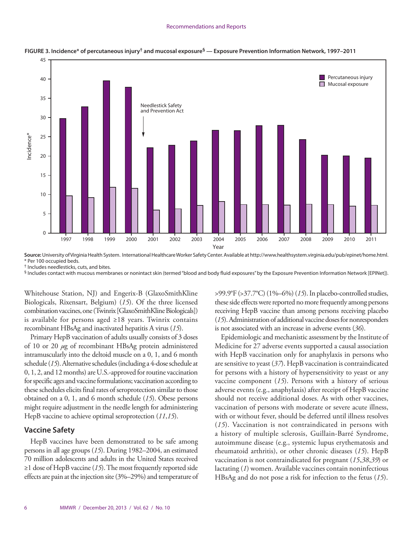#### Recommendations and Reports



**FIGURE 3. Incidence\* of percutaneous injury† and mucosal exposure§ — Exposure Prevention Information Network, 1997–2011**

**Source:** University of Virginia Health System. International Healthcare Worker Safety Center. Available at<http://www.healthsystem.virginia.edu/pub/epinet/home.html>. \* Per 100 occupied beds.

† Includes needlesticks, cuts, and bites.

§ Includes contact with mucous membranes or nonintact skin (termed "blood and body fluid exposures" by the Exposure Prevention Information Network [EPINet]).

Whitehouse Station, NJ) and Engerix-B (GlaxoSmithKline Biologicals, Rixensart, Belgium) (*15*). Of the three licensed combination vaccines, one (Twinrix [GlaxoSmithKline Biologicals]) is available for persons aged ≥18 years. Twinrix contains recombinant HBsAg and inactivated hepatitis A virus (*15*).

Primary HepB vaccination of adults usually consists of 3 doses of 10 or 20 *µ*g of recombinant HBsAg protein administered intramuscularly into the deltoid muscle on a 0, 1, and 6 month schedule (*15*). Alternative schedules (including a 4-dose schedule at 0, 1, 2, and 12 months) are U.S.-approved for routine vaccination for specific ages and vaccine formulations; vaccination according to these schedules elicits final rates of seroprotection similar to those obtained on a 0, 1, and 6 month schedule (*15*). Obese persons might require adjustment in the needle length for administering HepB vaccine to achieve optimal seroprotection (*11*,*15*).

#### **Vaccine Safety**

HepB vaccines have been demonstrated to be safe among persons in all age groups (*15*). During 1982–2004, an estimated 70 million adolescents and adults in the United States received ≥1 dose of HepB vaccine (*15*). The most frequently reported side effects are pain at the injection site (3%–29%) and temperature of >99.9°F (>37.7°C) (1%–6%) (*15*). In placebo-controlled studies, these side effects were reported no more frequently among persons receiving HepB vaccine than among persons receiving placebo (*15*). Administration of additional vaccine doses for nonresponders is not associated with an increase in adverse events (*36*).

Epidemiologic and mechanistic assessment by the Institute of Medicine for 27 adverse events supported a causal association with HepB vaccination only for anaphylaxis in persons who are sensitive to yeast (*37*). HepB vaccination is contraindicated for persons with a history of hypersensitivity to yeast or any vaccine component (*15*). Persons with a history of serious adverse events (e.g., anaphylaxis) after receipt of HepB vaccine should not receive additional doses. As with other vaccines, vaccination of persons with moderate or severe acute illness, with or without fever, should be deferred until illness resolves (*15*). Vaccination is not contraindicated in persons with a history of multiple sclerosis, Guillain-Barré Syndrome, autoimmune disease (e.g., systemic lupus erythematosis and rheumatoid arthritis), or other chronic diseases (*15*). HepB vaccination is not contraindicated for pregnant (*15*,*38*,*39*) or lactating (*1*) women. Available vaccines contain noninfectious HBsAg and do not pose a risk for infection to the fetus (*15*).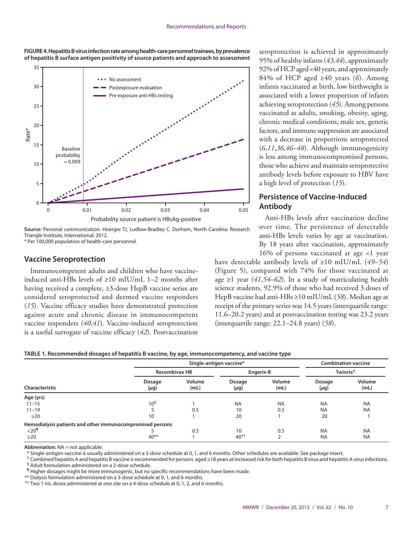**FIGURE 4. Hepatitis B virus infection rate among health-care personnel trainees, by prevalence of hepatitis B surface antigen positivity of source patients and approach to assessment**





\* Per 100,000 population of health-care personnel.

#### **Vaccine Seroprotection**

Immunocompetent adults and children who have vaccineinduced anti-HBs levels of ≥10 mIU/mL 1–2 months after having received a complete, ≥3-dose HepB vaccine series are considered seroprotected and deemed vaccine responders (*15*). Vaccine efficacy studies have demonstrated protection against acute and chronic disease in immunocompetent vaccine responders (*40*,*41*). Vaccine-induced seroprotection is a useful surrogate of vaccine efficacy (*42*). Postvaccination seroprotection is achieved in approximately 95% of healthy infants (*43*,*44*), approximately 92% of HCP aged <40 years, and approximately 84% of HCP aged ≥40 years (*6*). Among infants vaccinated at birth, low birthweight is associated with a lower proportion of infants achieving seroprotection (*45*). Among persons vaccinated as adults, smoking, obesity, aging, chronic medical conditions, male sex, genetic factors, and immune suppression are associated with a decrease in proportions seroprotected (*6*,*11*,*36*,*46*–*48*). Although immunogenicity is less among immunocompromised persons, those who achieve and maintain seroprotective antibody levels before exposure to HBV have a high level of protection (*15*).

# **Persistence of Vaccine-Induced Antibody**

Anti-HBs levels after vaccination decline over time. The persistence of detectable anti-HBs levels varies by age at vaccination. By 18 years after vaccination, approximately 16% of persons vaccinated at age <1 year

have detectable antibody levels of ≥10 mIU/mL (*49*–*54*) (Figure 5), compared with 74% for those vaccinated at age ≥1 year (*41*,*54*–*62*). In a study of matriculating health science students, 92.9% of those who had received 3 doses of HepB vaccine had anti-HBs ≥10 mIU/mL (*58*). Median age at receipt of the primary series was 14.5 years (interquartile range: 11.6–20.2 years) and at postvaccination testing was 23.2 years (interquartile range: 22.1–24.8 years) (*58*).

|                                                           |                 | Single-antigen vaccine* |                     |                |                     | <b>Combination vaccine</b> |  |
|-----------------------------------------------------------|-----------------|-------------------------|---------------------|----------------|---------------------|----------------------------|--|
|                                                           |                 | <b>Recombivax HB</b>    |                     | Engerix-B      |                     | Twinrix <sup>†</sup>       |  |
| Characteristic                                            | Dosage<br>(µg)  | Volume<br>(mL)          | Dosage<br>$(\mu g)$ | Volume<br>(mL) | Dosage<br>$(\mu g)$ | Volume<br>(mL)             |  |
| Age (yrs)                                                 |                 |                         |                     |                |                     |                            |  |
| $11 - 15$                                                 | 10 <sup>5</sup> |                         | <b>NA</b>           | <b>NA</b>      | <b>NA</b>           | <b>NA</b>                  |  |
| $11 - 19$                                                 |                 | 0.5                     | 10                  | 0.5            | <b>NA</b>           | <b>NA</b>                  |  |
| $\geq$ 20                                                 | 10              |                         | 20                  |                | 20                  |                            |  |
| Hemodialysis patients and other immunocompromised persons |                 |                         |                     |                |                     |                            |  |
| $<$ 20 $\rm{^{\prime\prime}}$                             |                 | 0.5                     | 10                  | 0.5            | <b>NA</b>           | <b>NA</b>                  |  |
| $\geq$ 20                                                 | $40**$          |                         | $40^{+1}$           |                | <b>NA</b>           | <b>NA</b>                  |  |

**Abbreviation:** NA = not applicable.

\* Single-antigen vaccine is usually administered on a 3-dose schedule at 0, 1, and 6 months. Other schedules are available. See package insert.

 $^{\dagger}$  Combined hepatitis A and hepatitis B vaccine is recommended for persons aged ≥18 years at increased risk for both hepatitis B virus and hepatitis A virus infections. § Adult formulation administered on a 2-dose schedule.

¶ Higher dosages might be more immunogenic, but no specific recommendations have been made.

\*\* Dialysis formulation administered on a 3-dose schedule at 0, 1, and 6 months.

†† Two 1 mL doses administered at one site on a 4-dose schedule at 0, 1, 2, and 6 months.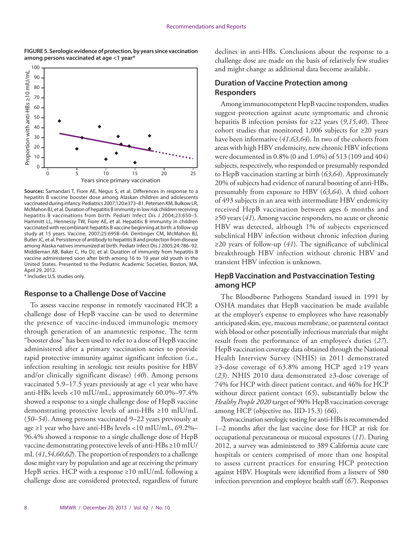

**FIGURE 5. Serologic evidence of protection, by years since vaccination among persons vaccinated at age <1 year\***

**Sources:** Samandari T, Fiore AE, Negus S, et al. Differences in response to a hepatitis B vaccine booster dose among Alaskan children and adolescents vaccinated during infancy. Pediatrics 2007;120:e373–81. Petersen KM, Bulkow LR, McMahon BJ, et al. Duration of hepatitis B immunity in low risk children receiving hepatitis B vaccinations from birth. Pediatr Infect Dis J 2004;23:650–5. Hammitt LL, Hennessy TW, Fiore AE, et al. Hepatitis B immunity in children vaccinated with recombinant hepatitis B vaccine beginning at birth: a follow-up study at 15 years. Vaccine. 2007;25:6958–64. Dentinger CM, McMahon BJ, Butler JC, et al. Persistence of antibody to hepatitis B and protection from disease among Alaska natives immunized at birth. Pediatr Infect Dis J 2005;24:786–92. Middleman AB, Baker C, Hu DJ, et al. Duration of immunity from hepatitis B vaccine administered soon after birth among 16 to 19 year old youth in the United States. Presented to the Pediatric Academic Societies, Boston, MA, April 29, 2012. \* Includes U.S. studies only.

#### **Response to a Challenge Dose of Vaccine**

To assess vaccine response in remotely vaccinated HCP, a challenge dose of HepB vaccine can be used to determine the presence of vaccine-induced immunologic memory through generation of an anamnestic response. The term "booster dose" has been used to refer to a dose of HepB vaccine administered after a primary vaccination series to provide rapid protective immunity against significant infection (i.e., infection resulting in serologic test results positive for HBV and/or clinically significant disease) (*40*). Among persons vaccinated 5.9–17.5 years previously at age <1 year who have anti-HBs levels <10 mIU/mL, approximately 60.0%–97.4% showed a response to a single challenge dose of HepB vaccine demonstrating protective levels of anti-HBs ≥10 mIU/mL (*50–54*). Among persons vaccinated 9–22 years previously at age ≥1 year who have anti-HBs levels <10 mIU/mL, 69.2%– 96.4% showed a response to a single challenge dose of HepB vaccine demonstrating protective levels of anti-HBs ≥10 mIU/ mL (*41*,*54*,*60*,*62*). The proportion of responders to a challenge dose might vary by population and age at receiving the primary HepB series. HCP with a response ≥10 mIU/mL following a challenge dose are considered protected, regardless of future

declines in anti-HBs. Conclusions about the response to a challenge dose are made on the basis of relatively few studies and might change as additional data become available.

## **Duration of Vaccine Protection among Responders**

Among immunocompetent HepB vaccine responders, studies suggest protection against acute symptomatic and chronic hepatitis B infection persists for ≥22 years (*9*,*15*,*40*). Three cohort studies that monitored 1,006 subjects for ≥20 years have been informative (*41*,*63*,*64*). In two of the cohorts from areas with high HBV endemicity, new chronic HBV infections were documented in 0.8% (0 and 1.0%) of 513 (109 and 404) subjects, respectively, who responded or presumably responded to HepB vaccination starting at birth (*63*,*64*). Approximately 20% of subjects had evidence of natural boosting of anti-HBs, presumably from exposure to HBV (*63*,*64*). A third cohort of 493 subjects in an area with intermediate HBV endemicity received HepB vaccination between ages 6 months and ≥50 years (*41*). Among vaccine responders, no acute or chronic HBV was detected, although 1% of subjects experienced subclinical HBV infection without chronic infection during ≥20 years of follow-up (*41*). The significance of subclinical breakthrough HBV infection without chronic HBV and transient HBV infection is unknown.

## **HepB Vaccination and Postvaccination Testing among HCP**

The Bloodborne Pathogens Standard issued in 1991 by OSHA mandates that HepB vaccination be made available at the employer's expense to employees who have reasonably anticipated skin, eye, mucous membrane, or parenteral contact with blood or other potentially infectious materials that might result from the performance of an employee's duties (*27*). HepB vaccination coverage data obtained through the National Health Interview Survey (NHIS) in 2011 demonstrated ≥3-dose coverage of 63.8% among HCP aged ≥19 years (*23*). NHIS 2010 data demonstrated ≥3-dose coverage of 74% for HCP with direct patient contact, and 46% for HCP without direct patient contact (*65*), substantially below the *Healthy People 2020* target of 90% HepB vaccination coverage among HCP (objective no. IID-15.3) (*66*).

Postvaccination serologic testing for anti-HBs is recommended 1–2 months after the last vaccine dose for HCP at risk for occupational percutaneous or mucosal exposures (*11*). During 2012, a survey was administered to 389 California acute care hospitals or centers comprised of more than one hospital to assess current practices for ensuring HCP protection against HBV. Hospitals were identified from a listserv of 580 infection prevention and employee health staff (*67*). Responses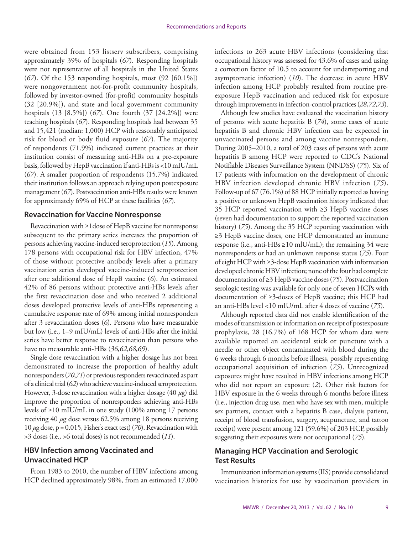were obtained from 153 listserv subscribers, comprising approximately 39% of hospitals (*67*). Responding hospitals were not representative of all hospitals in the United States (*67*). Of the 153 responding hospitals, most (92 [60.1%]) were nongovernment not-for-profit community hospitals, followed by investor-owned (for-profit) community hospitals (32 [20.9%]), and state and local government community hospitals (13 [8.5%]) (*67*). One fourth (37 [24.2%]) were teaching hospitals (*67*). Responding hospitals had between 35 and 15,421 (median: 1,000) HCP with reasonably anticipated risk for blood or body fluid exposure (*67*). The majority of respondents (71.9%) indicated current practices at their institution consist of measuring anti-HBs on a pre-exposure basis, followed by HepB vaccination if anti-HBs is <10 mIU/mL (*67*). A smaller proportion of respondents (15.7%) indicated their institution follows an approach relying upon postexposure management (*67*). Postvaccination anti-HBs results were known for approximately 69% of HCP at these facilities (*67*).

#### **Revaccination for Vaccine Nonresponse**

Revaccination with ≥1dose of HepB vaccine for nonresponse subsequent to the primary series increases the proportion of persons achieving vaccine-induced seroprotection (*15*). Among 178 persons with occupational risk for HBV infection, 47% of those without protective antibody levels after a primary vaccination series developed vaccine-induced seroprotection after one additional dose of HepB vaccine (*6*). An estimated 42% of 86 persons without protective anti-HBs levels after the first revaccination dose and who received 2 additional doses developed protective levels of anti-HBs representing a cumulative response rate of 69% among initial nonresponders after 3 revaccination doses (*6*). Persons who have measurable but low (i.e., 1–9 mIU/mL) levels of anti-HBs after the initial series have better response to revaccination than persons who have no measurable anti-HBs (*36*,*62*,*68*,*69*).

Single dose revaccination with a higher dosage has not been demonstrated to increase the proportion of healthy adult nonresponders (*70*,*71*) or previous responders revaccinated as part of a clinical trial (*62*) who achieve vaccine-induced seroprotection. However, 3-dose revaccination with a higher dosage (40 *µ*g) did improve the proportion of nonresponders achieving anti-HBs levels of ≥10 mIU/mL in one study (100% among 17 persons receiving 40 *µ*g dose versus 62.5% among 18 persons receiving 10 *µ*g dose, p = 0.015, Fisher's exact test) (*70*). Revaccination with >3 doses (i.e., >6 total doses) is not recommended (*11*).

# **HBV Infection among Vaccinated and Unvaccinated HCP**

From 1983 to 2010, the number of HBV infections among HCP declined approximately 98%, from an estimated 17,000 infections to 263 acute HBV infections (considering that occupational history was assessed for 43.6% of cases and using a correction factor of 10.5 to account for underreporting and asymptomatic infection) (*10*). The decrease in acute HBV infection among HCP probably resulted from routine preexposure HepB vaccination and reduced risk for exposure through improvements in infection-control practices (*28*,*72*,*73*).

Although few studies have evaluated the vaccination history of persons with acute hepatitis B (*74*), some cases of acute hepatitis B and chronic HBV infection can be expected in unvaccinated persons and among vaccine nonresponders. During 2005–2010, a total of 203 cases of persons with acute hepatitis B among HCP were reported to CDC's National Notifiable Diseases Surveillance System (NNDSS) (*75*). Six of 17 patients with information on the development of chronic HBV infection developed chronic HBV infection (*75*). Follow-up of 67 (76.1%) of 88 HCP initially reported as having a positive or unknown HepB vaccination history indicated that 35 HCP reported vaccination with ≥3 HepB vaccine doses (seven had documentation to support the reported vaccination history) (*75*). Among the 35 HCP reporting vaccination with ≥3 HepB vaccine doses, one HCP demonstrated an immune response (i.e., anti-HBs ≥10 mlU/mL); the remaining 34 were nonresponders or had an unknown response status (*75*). Four of eight HCP with ≥3-dose HepB vaccination with information developed chronic HBV infection; none of the four had complete documentation of ≥3 HepB vaccine doses (*75*). Postvaccination serologic testing was available for only one of seven HCPs with documentation of ≥3-doses of HepB vaccine; this HCP had an anti-HBs level <10 mIU/mL after 4 doses of vaccine (*75*).

Although reported data did not enable identification of the modes of transmission or information on receipt of postexposure prophylaxis, 28 (16.7%) of 168 HCP for whom data were available reported an accidental stick or puncture with a needle or other object contaminated with blood during the 6 weeks through 6 months before illness, possibly representing occupational acquisition of infection (*75*). Unrecognized exposures might have resulted in HBV infections among HCP who did not report an exposure (*2*). Other risk factors for HBV exposure in the 6 weeks through 6 months before illness (i.e., injection drug use, men who have sex with men, multiple sex partners, contact with a hepatitis B case, dialysis patient, receipt of blood transfusion, surgery, acupuncture, and tattoo receipt) were present among 121 (59.6%) of 203 HCP, possibly suggesting their exposures were not occupational (*75*).

# **Managing HCP Vaccination and Serologic Test Results**

Immunization information systems (IIS) provide consolidated vaccination histories for use by vaccination providers in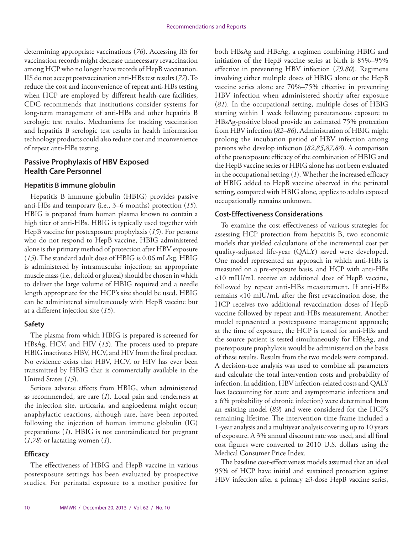determining appropriate vaccinations (*76*). Accessing IIS for vaccination records might decrease unnecessary revaccination among HCP who no longer have records of HepB vaccination. IIS do not accept postvaccination anti-HBs test results (*77*). To reduce the cost and inconvenience of repeat anti-HBs testing when HCP are employed by different health-care facilities, CDC recommends that institutions consider systems for long-term management of anti-HBs and other hepatitis B serologic test results. Mechanisms for tracking vaccination and hepatitis B serologic test results in health information technology products could also reduce cost and inconvenience of repeat anti-HBs testing.

# **Passive Prophylaxis of HBV Exposed Health Care Personnel**

#### **Hepatitis B immune globulin**

Hepatitis B immune globulin (HBIG) provides passive anti-HBs and temporary (i.e., 3–6 months) protection (*15*). HBIG is prepared from human plasma known to contain a high titer of anti-HBs. HBIG is typically used together with HepB vaccine for postexposure prophylaxis (*15*). For persons who do not respond to HepB vaccine, HBIG administered alone is the primary method of protection after HBV exposure (*15*). The standard adult dose of HBIG is 0.06 mL/kg. HBIG is administered by intramuscular injection; an appropriate muscle mass (i.e., deltoid or gluteal) should be chosen in which to deliver the large volume of HBIG required and a needle length appropriate for the HCP's size should be used. HBIG can be administered simultaneously with HepB vaccine but at a different injection site (*15*).

#### **Safety**

The plasma from which HBIG is prepared is screened for HBsAg, HCV, and HIV (*15*). The process used to prepare HBIG inactivates HBV, HCV, and HIV from the final product. No evidence exists that HBV, HCV, or HIV has ever been transmitted by HBIG thar is commercially available in the United States (*15*).

Serious adverse effects from HBIG, when administered as recommended, are rare (*1*). Local pain and tenderness at the injection site, urticaria, and angioedema might occur; anaphylactic reactions, although rare, have been reported following the injection of human immune globulin (IG) preparations (*1*). HBIG is not contraindicated for pregnant (*1*,*78*) or lactating women (*1*).

#### **Efficacy**

The effectiveness of HBIG and HepB vaccine in various postexposure settings has been evaluated by prospective studies. For perinatal exposure to a mother positive for both HBsAg and HBeAg, a regimen combining HBIG and initiation of the HepB vaccine series at birth is 85%–95% effective in preventing HBV infection (*79*,*80*). Regimens involving either multiple doses of HBIG alone or the HepB vaccine series alone are 70%–75% effective in preventing HBV infection when administered shortly after exposure (*81*). In the occupational setting, multiple doses of HBIG starting within 1 week following percutaneous exposure to HBsAg-positive blood provide an estimated 75% protection from HBV infection (*82*–*86*). Administration of HBIG might prolong the incubation period of HBV infection among persons who develop infection (*82*,*85*,*87*,*88*). A comparison of the postexposure efficacy of the combination of HBIG and the HepB vaccine series or HBIG alone has not been evaluated in the occupational setting (*1*). Whether the increased efficacy of HBIG added to HepB vaccine observed in the perinatal setting, compared with HBIG alone, applies to adults exposed occupationally remains unknown.

#### **Cost-Effectiveness Considerations**

To examine the cost-effectiveness of various strategies for assessing HCP protection from hepatitis B, two economic models that yielded calculations of the incremental cost per quality-adjusted life-year (QALY) saved were developed. One model represented an approach in which anti-HBs is measured on a pre-exposure basis, and HCP with anti-HBs <10 mIU/mL receive an additional dose of HepB vaccine, followed by repeat anti-HBs measurement. If anti-HBs remains <10 mIU/mL after the first revaccination dose, the HCP receives two additional revaccination doses of HepB vaccine followed by repeat anti-HBs measurement. Another model represented a postexposure management approach; at the time of exposure, the HCP is tested for anti-HBs and the source patient is tested simultaneously for HBsAg, and postexposure prophylaxis would be administered on the basis of these results. Results from the two models were compared. A decision-tree analysis was used to combine all parameters and calculate the total intervention costs and probability of infection. In addition, HBV infection-related costs and QALY loss (accounting for acute and asymptomatic infections and a 6% probability of chronic infection) were determined from an existing model (*89*) and were considered for the HCP's remaining lifetime. The intervention time frame included a 1-year analysis and a multiyear analysis covering up to 10 years of exposure. A 3% annual discount rate was used, and all final cost figures were converted to 2010 U.S. dollars using the Medical Consumer Price Index.

The baseline cost-effectiveness models assumed that an ideal 95% of HCP have initial and sustained protection against HBV infection after a primary ≥3-dose HepB vaccine series,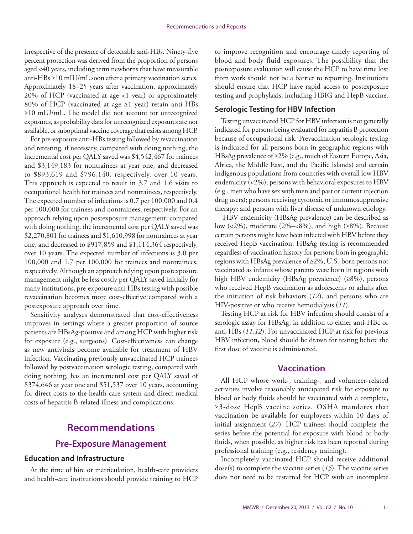<span id="page-12-0"></span>irrespective of the presence of detectable anti-HBs. Ninety-five percent protection was derived from the proportion of persons aged <40 years, including term newborns that have measurable anti-HBs ≥10 mIU/mL soon after a primary vaccination series. Approximately 18–25 years after vaccination, approximately 20% of HCP (vaccinated at age <1 year) or approximately 80% of HCP (vaccinated at age  $\geq 1$  year) retain anti-HBs ≥10 mIU/mL. The model did not account for unrecognized exposures, as probability data for unrecognized exposures are not available, or suboptimal vaccine coverage that exists among HCP.

For pre-exposure anti-HBs testing followed by revaccination and retesting, if necessary, compared with doing nothing, the incremental cost per QALY saved was \$4,542,467 for trainees and \$3,149,183 for nontrainees at year one, and decreased to \$893,619 and \$796,140, respectively, over 10 years. This approach is expected to result in 3.7 and 1.6 visits to occupational health for trainees and nontrainees, respectively. The expected number of infections is 0.7 per 100,000 and 0.4 per 100,000 for trainees and nontrainees, respectively. For an approach relying upon postexposure management, compared with doing nothing, the incremental cost per QALY saved was \$2,270,801 for trainees and \$1,610,998 for nontrainees at year one, and decreased to \$917,859 and \$1,114,364 respectively, over 10 years. The expected number of infections is 3.0 per 100,000 and 1.7 per 100,000 for trainees and nontrainees, respectively. Although an approach relying upon postexposure management might be less costly per QALY saved initially for many institutions, pre-exposure anti-HBs testing with possible revaccination becomes more cost-effective compared with a postexposure approach over time.

Sensitivity analyses demonstrated that cost-effectiveness improves in settings where a greater proportion of source patients are HBsAg-positive and among HCP with higher risk for exposure (e.g., surgeons). Cost-effectiveness can change as new antivirals become available for treatment of HBV infection. Vaccinating previously unvaccinated HCP trainees followed by postvaccination serologic testing, compared with doing nothing, has an incremental cost per QALY saved of \$374,646 at year one and \$51,537 over 10 years, accounting for direct costs to the health-care system and direct medical costs of hepatitis B-related illness and complications.

# **Recommendations**

# **Pre-Exposure Management**

## **Education and Infrastructure**

At the time of hire or matriculation, health-care providers and health-care institutions should provide training to HCP to improve recognition and encourage timely reporting of blood and body fluid exposures. The possibility that the postexposure evaluation will cause the HCP to have time lost from work should not be a barrier to reporting. Institutions should ensure that HCP have rapid access to postexposure testing and prophylaxis, including HBIG and HepB vaccine.

#### **Serologic Testing for HBV Infection**

Testing unvaccinated HCP for HBV infection is not generally indicated for persons being evaluated for hepatitis B protection because of occupational risk. Prevaccination serologic testing is indicated for all persons born in geographic regions with HBsAg prevalence of ≥2% (e.g., much of Eastern Europe, Asia, Africa, the Middle East, and the Pacific Islands) and certain indigenous populations from countries with overall low HBV endemicity (<2%); persons with behavioral exposures to HBV (e.g., men who have sex with men and past or current injection drug users); persons receiving cytotoxic or immunosuppressive therapy; and persons with liver disease of unknown etiology.

 HBV endemicity (HBsAg prevalence) can be described as low  $(<2\%$ , moderate  $(2\% - < 8\%)$ , and high  $(>8\%)$ . Because certain persons might have been infected with HBV before they received HepB vaccination, HBsAg testing is recommended regardless of vaccination history for persons born in geographic regions with HBsAg prevalence of ≥2%, U.S.-born persons not vaccinated as infants whose parents were born in regions with high HBV endemicity (HBsAg prevalence) (≥8%), persons who received HepB vaccination as adolescents or adults after the initiation of risk behaviors (*12*), and persons who are HIV-positive or who receive hemodialysis (*11*).

Testing HCP at risk for HBV infection should consist of a serologic assay for HBsAg, in addition to either anti-HBc or anti-HBs (*11*,*12*). For unvaccinated HCP at risk for previous HBV infection, blood should be drawn for testing before the first dose of vaccine is administered.

## **Vaccination**

All HCP whose work-, training-, and volunteer-related activities involve reasonably anticipated risk for exposure to blood or body fluids should be vaccinated with a complete, ≥3-dose HepB vaccine series. OSHA mandates that vaccination be available for employees within 10 days of initial assignment (*27*). HCP trainees should complete the series before the potential for exposure with blood or body fluids, when possible, as higher risk has been reported during professional training (e.g., residency training).

Incompletely vaccinated HCP should receive additional dose(s) to complete the vaccine series (*15*). The vaccine series does not need to be restarted for HCP with an incomplete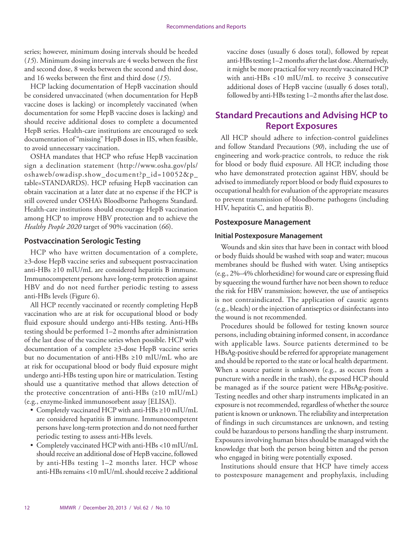series; however, minimum dosing intervals should be heeded (*15*). Minimum dosing intervals are 4 weeks between the first and second dose, 8 weeks between the second and third dose, and 16 weeks between the first and third dose (*15*).

HCP lacking documentation of HepB vaccination should be considered unvaccinated (when documentation for HepB vaccine doses is lacking) or incompletely vaccinated (when documentation for some HepB vaccine doses is lacking) and should receive additional doses to complete a documented HepB series. Health-care institutions are encouraged to seek documentation of "missing" HepB doses in IIS, when feasible, to avoid unnecessary vaccination.

OSHA mandates that HCP who refuse HepB vaccination sign a declination statement [\(http://www.osha.gov/pls/](http://www.osha.gov/pls/oshaweb/owadisp.show_document?p_id=10052&p_table=STANDARDS) [oshaweb/owadisp.show\\_document?p\\_id=10052&p\\_](http://www.osha.gov/pls/oshaweb/owadisp.show_document?p_id=10052&p_table=STANDARDS) [table=STANDARDS\)](http://www.osha.gov/pls/oshaweb/owadisp.show_document?p_id=10052&p_table=STANDARDS). HCP refusing HepB vaccination can obtain vaccination at a later date at no expense if the HCP is still covered under OSHA's Bloodborne Pathogens Standard. Health-care institutions should encourage HepB vaccination among HCP to improve HBV protection and to achieve the *Healthy People 2020* target of 90% vaccination (*66*).

# **Postvaccination Serologic Testing**

HCP who have written documentation of a complete, ≥3-dose HepB vaccine series and subsequent postvaccination anti-HBs ≥10 mIU/mL are considered hepatitis B immune. Immunocompetent persons have long-term protection against HBV and do not need further periodic testing to assess anti-HBs levels (Figure 6).

All HCP recently vaccinated or recently completing HepB vaccination who are at risk for occupational blood or body fluid exposure should undergo anti-HBs testing. Anti-HBs testing should be performed 1–2 months after administration of the last dose of the vaccine series when possible. HCP with documentation of a complete ≥3-dose HepB vaccine series but no documentation of anti-HBs ≥10 mIU/mL who are at risk for occupational blood or body fluid exposure might undergo anti-HBs testing upon hire or matriculation. Testing should use a quantitative method that allows detection of the protective concentration of anti-HBs  $(\geq 10 \text{ mIU/mL})$ (e.g., enzyme-linked immunosorbent assay [ELISA]).

- • Completely vaccinated HCP with anti-HBs ≥10 mIU/mL are considered hepatitis B immune. Immunocompetent persons have long-term protection and do not need further periodic testing to assess anti-HBs levels.
- • Completely vaccinated HCP with anti-HBs <10 mIU/mL should receive an additional dose of HepB vaccine, followed by anti-HBs testing 1–2 months later. HCP whose anti-HBs remains <10 mIU/mL should receive 2 additional

vaccine doses (usually 6 doses total), followed by repeat anti-HBs testing 1–2 months after the last dose. Alternatively, it might be more practical for very recently vaccinated HCP with anti-HBs <10 mIU/mL to receive 3 consecutive additional doses of HepB vaccine (usually 6 doses total), followed by anti-HBs testing 1–2 months after the last dose.

# **Standard Precautions and Advising HCP to Report Exposures**

All HCP should adhere to infection-control guidelines and follow Standard Precautions (*90*), including the use of engineering and work-practice controls, to reduce the risk for blood or body fluid exposure. All HCP, including those who have demonstrated protection against HBV, should be advised to immediately report blood or body fluid exposures to occupational health for evaluation of the appropriate measures to prevent transmission of bloodborne pathogens (including HIV, hepatitis C, and hepatitis B).

#### **Postexposure Management**

#### **Initial Postexposure Management**

Wounds and skin sites that have been in contact with blood or body fluids should be washed with soap and water; mucous membranes should be flushed with water. Using antiseptics (e.g., 2%–4% chlorhexidine) for wound care or expressing fluid by squeezing the wound further have not been shown to reduce the risk for HBV transmission; however, the use of antiseptics is not contraindicated. The application of caustic agents (e.g., bleach) or the injection of antiseptics or disinfectants into the wound is not recommended.

Procedures should be followed for testing known source persons, including obtaining informed consent, in accordance with applicable laws. Source patients determined to be HBsAg-positive should be referred for appropriate management and should be reported to the state or local health department. When a source patient is unknown (e.g., as occurs from a puncture with a needle in the trash), the exposed HCP should be managed as if the source patient were HBsAg-positive. Testing needles and other sharp instruments implicated in an exposure is not recommended, regardless of whether the source patient is known or unknown. The reliability and interpretation of findings in such circumstances are unknown, and testing could be hazardous to persons handling the sharp instrument. Exposures involving human bites should be managed with the knowledge that both the person being bitten and the person who engaged in biting were potentially exposed.

Institutions should ensure that HCP have timely access to postexposure management and prophylaxis, including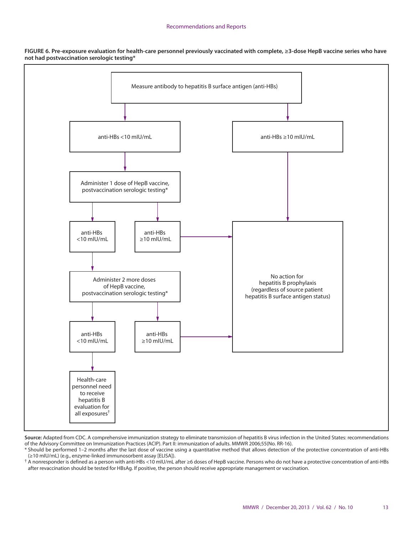#### Recommendations and Reports

**FIGURE 6. Pre-exposure evaluation for health-care personnel previously vaccinated with complete, ≥3-dose HepB vaccine series who have not had postvaccination serologic testing\*** 



**Source:** Adapted from CDC. A comprehensive immunization strategy to eliminate transmission of hepatitis B virus infection in the United States: recommendations of the Advisory Committee on Immunization Practices (ACIP). Part II: immunization of adults. MMWR 2006;55(No. RR-16).

\* Should be performed 1–2 months after the last dose of vaccine using a quantitative method that allows detection of the protective concentration of anti-HBs (≥10 mIU/mL) (e.g., enzyme-linked immunosorbent assay [ELISA]).

† A nonresponder is defined as a person with anti-HBs <10 mIU/mL after ≥6 doses of HepB vaccine. Persons who do not have a protective concentration of anti-HBs after revaccination should be tested for HBsAg. If positive, the person should receive appropriate management or vaccination.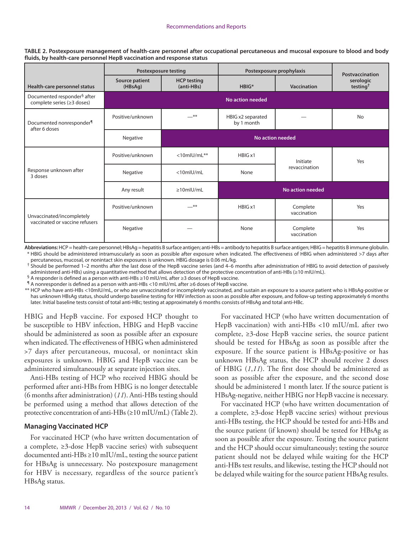**TABLE 2. Postexposure management of health-care personnel after occupational percutaneous and mucosal exposure to blood and body fluids, by health-care personnel HepB vaccination and response status**

|                                                                       | <b>Postexposure testing</b> |                                  | Postexposure prophylaxis        | Postvaccination         |                                   |
|-----------------------------------------------------------------------|-----------------------------|----------------------------------|---------------------------------|-------------------------|-----------------------------------|
| Health-care personnel status                                          | Source patient<br>(HBsAg)   | <b>HCP testing</b><br>(anti-HBs) | $HBIG*$                         | Vaccination             | serologic<br>testing <sup>†</sup> |
| Documented responder <sup>§</sup> after<br>complete series (≥3 doses) |                             |                                  | <b>No action needed</b>         |                         |                                   |
| Documented nonresponder <sup>1</sup><br>after 6 doses                 | Positive/unknown            | $-$ **                           | HBIG x2 separated<br>by 1 month |                         | <b>No</b>                         |
|                                                                       | Negative                    | <b>No action needed</b>          |                                 |                         |                                   |
| Response unknown after<br>3 doses                                     | Positive/unknown            | $<$ 10mlU/mL**                   | HBIG x1                         | Initiate                | Yes                               |
|                                                                       | Negative                    | <10mlU/mL                        | None                            | revaccination           |                                   |
|                                                                       | Any result                  | $\geq 10$ mlU/mL                 | No action needed                |                         |                                   |
| Unvaccinated/incompletely<br>vaccinated or vaccine refusers           | Positive/unknown            | **                               | HBIG x1                         | Complete<br>vaccination | Yes                               |
|                                                                       | Negative                    |                                  | None                            | Complete<br>vaccination | Yes                               |

**Abbreviations:** HCP = health-care personnel; HBsAg = hepatitis B surface antigen; anti-HBs = antibody to hepatitis B surface antigen; HBIG = hepatitis B immune globulin. \* HBIG should be administered intramuscularly as soon as possible after exposure when indicated. The effectiveness of HBIG when administered >7 days after percutaneous, mucosal, or nonintact skin exposures is unknown. HBIG dosage is 0.06 mL/kg.

† Should be performed 1–2 months after the last dose of the HepB vaccine series (and 4–6 months after administration of HBIG to avoid detection of passively administered anti-HBs) using a quantitative method that allows detection of the protective concentration of anti-HBs (≥10 mIU/mL).

§ A responder is defined as a person with anti-HBs  $\geq$  10 mIU/mL after  $\geq$  3 doses of HepB vaccine.

¶ A nonresponder is defined as a person with anti-HBs <10 mIU/mL after ≥6 doses of HepB vaccine.

\*\* HCP who have anti-HBs <10mIU/mL, or who are unvaccinated or incompletely vaccinated, and sustain an exposure to a source patient who is HBsAg-positive or has unknown HBsAg status, should undergo baseline testing for HBV infection as soon as possible after exposure, and follow-up testing approximately 6 months later. Initial baseline tests consist of total anti-HBc; testing at approximately 6 months consists of HBsAg and total anti-HBc.

HBIG and HepB vaccine. For exposed HCP thought to be susceptible to HBV infection, HBIG and HepB vaccine should be administered as soon as possible after an exposure when indicated. The effectiveness of HBIG when administered >7 days after percutaneous, mucosal, or nonintact skin exposures is unknown. HBIG and HepB vaccine can be administered simultaneously at separate injection sites.

Anti-HBs testing of HCP who received HBIG should be performed after anti-HBs from HBIG is no longer detectable (6 months after administration) (*11*). Anti-HBs testing should be performed using a method that allows detection of the protective concentration of anti-HBs (≥10 mIU/mL) (Table 2).

#### **Managing Vaccinated HCP**

For vaccinated HCP (who have written documentation of a complete, ≥3-dose HepB vaccine series) with subsequent documented anti-HBs ≥10 mIU/mL, testing the source patient for HBsAg is unnecessary. No postexposure management for HBV is necessary, regardless of the source patient's HBsAg status.

For vaccinated HCP (who have written documentation of HepB vaccination) with anti-HBs <10 mIU/mL after two complete, ≥3-dose HepB vaccine series, the source patient should be tested for HBsAg as soon as possible after the exposure. If the source patient is HBsAg-positive or has unknown HBsAg status, the HCP should receive 2 doses of HBIG (*1*,*11*). The first dose should be administered as soon as possible after the exposure, and the second dose should be administered 1 month later. If the source patient is HBsAg-negative, neither HBIG nor HepB vaccine is necessary.

For vaccinated HCP (who have written documentation of a complete, ≥3-dose HepB vaccine series) without previous anti-HBs testing, the HCP should be tested for anti-HBs and the source patient (if known) should be tested for HBsAg as soon as possible after the exposure. Testing the source patient and the HCP should occur simultaneously; testing the source patient should not be delayed while waiting for the HCP anti-HBs test results, and likewise, testing the HCP should not be delayed while waiting for the source patient HBsAg results.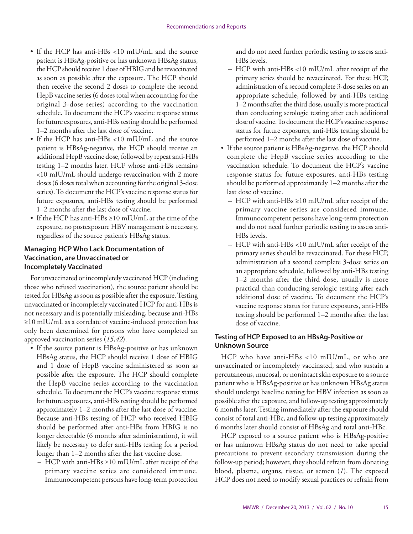- If the HCP has anti-HBs <10 mIU/mL and the source patient is HBsAg-positive or has unknown HBsAg status, the HCP should receive 1 dose of HBIG and be revaccinated as soon as possible after the exposure. The HCP should then receive the second 2 doses to complete the second HepB vaccine series (6 doses total when accounting for the original 3-dose series) according to the vaccination schedule. To document the HCP's vaccine response status for future exposures, anti-HBs testing should be performed 1–2 months after the last dose of vaccine.
- If the HCP has anti-HBs <10 mIU/mL and the source patient is HBsAg-negative, the HCP should receive an additional HepB vaccine dose, followed by repeat anti-HBs testing 1–2 months later. HCP whose anti-HBs remains <10 mIU/mL should undergo revaccination with 2 more doses (6 doses total when accounting for the original 3-dose series). To document the HCP's vaccine response status for future exposures, anti-HBs testing should be performed 1–2 months after the last dose of vaccine.
- • If the HCP has anti-HBs ≥10 mIU/mL at the time of the exposure, no postexposure HBV management is necessary, regardless of the source patient's HBsAg status.

## **Managing HCP Who Lack Documentation of Vaccination, are Unvaccinated or Incompletely Vaccinated**

For unvaccinated or incompletely vaccinated HCP (including those who refused vaccination), the source patient should be tested for HBsAg as soon as possible after the exposure. Testing unvaccinated or incompletely vaccinated HCP for anti-HBs is not necessary and is potentially misleading, because anti-HBs ≥10 mIU/mL as a correlate of vaccine-induced protection has only been determined for persons who have completed an approved vaccination series (*15*,*42*).

- If the source patient is HBsAg-positive or has unknown HBsAg status, the HCP should receive 1 dose of HBIG and 1 dose of HepB vaccine administered as soon as possible after the exposure. The HCP should complete the HepB vaccine series according to the vaccination schedule. To document the HCP's vaccine response status for future exposures, anti-HBs testing should be performed approximately 1–2 months after the last dose of vaccine. Because anti-HBs testing of HCP who received HBIG should be performed after anti-HBs from HBIG is no longer detectable (6 months after administration), it will likely be necessary to defer anti-HBs testing for a period longer than 1–2 months after the last vaccine dose.
	- HCP with anti-HBs ≥10 mIU/mL after receipt of the primary vaccine series are considered immune. Immunocompetent persons have long-term protection

and do not need further periodic testing to assess anti-HBs levels.

- HCP with anti-HBs <10 mIU/mL after receipt of the primary series should be revaccinated. For these HCP, administration of a second complete 3-dose series on an appropriate schedule, followed by anti-HBs testing 1–2 months after the third dose, usually is more practical than conducting serologic testing after each additional dose of vaccine. To document the HCP's vaccine response status for future exposures, anti-HBs testing should be performed 1–2 months after the last dose of vaccine.
- If the source patient is HBsAg-negative, the HCP should complete the HepB vaccine series according to the vaccination schedule. To document the HCP's vaccine response status for future exposures, anti-HBs testing should be performed approximately 1–2 months after the last dose of vaccine.
	- HCP with anti-HBs ≥10 mIU/mL after receipt of the primary vaccine series are considered immune. Immunocompetent persons have long-term protection and do not need further periodic testing to assess anti-HBs levels.
	- HCP with anti-HBs <10 mIU/mL after receipt of the primary series should be revaccinated. For these HCP, administration of a second complete 3-dose series on an appropriate schedule, followed by anti-HBs testing 1–2 months after the third dose, usually is more practical than conducting serologic testing after each additional dose of vaccine. To document the HCP's vaccine response status for future exposures, anti-HBs testing should be performed 1–2 months after the last dose of vaccine.

# **Testing of HCP Exposed to an HBsAg-Positive or Unknown Source**

HCP who have anti-HBs <10 mIU/mL, or who are unvaccinated or incompletely vaccinated, and who sustain a percutaneous, mucosal, or nonintact skin exposure to a source patient who is HBsAg-positive or has unknown HBsAg status should undergo baseline testing for HBV infection as soon as possible after the exposure, and follow-up testing approximately 6 months later. Testing immediately after the exposure should consist of total anti-HBc, and follow-up testing approximately 6 months later should consist of HBsAg and total anti-HBc.

HCP exposed to a source patient who is HBsAg-positive or has unknown HBsAg status do not need to take special precautions to prevent secondary transmission during the follow-up period; however, they should refrain from donating blood, plasma, organs, tissue, or semen (*1*). The exposed HCP does not need to modify sexual practices or refrain from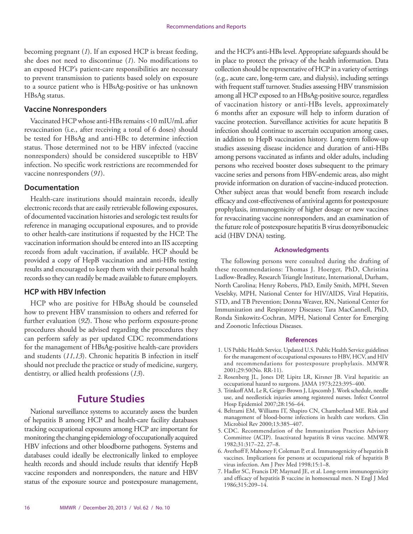<span id="page-17-0"></span>becoming pregnant (*1*). If an exposed HCP is breast feeding, she does not need to discontinue (*1*). No modifications to an exposed HCP's patient-care responsibilities are necessary to prevent transmission to patients based solely on exposure to a source patient who is HBsAg-positive or has unknown HBsAg status.

#### **Vaccine Nonresponders**

Vaccinated HCP whose anti-HBs remains <10 mIU/mL after revaccination (i.e., after receiving a total of 6 doses) should be tested for HBsAg and anti-HBc to determine infection status. Those determined not to be HBV infected (vaccine nonresponders) should be considered susceptible to HBV infection. No specific work restrictions are recommended for vaccine nonresponders (*91*).

#### **Documentation**

Health-care institutions should maintain records, ideally electronic records that are easily retrievable following exposures, of documented vaccination histories and serologic test results for reference in managing occupational exposures, and to provide to other health-care institutions if requested by the HCP. The vaccination information should be entered into an IIS accepting records from adult vaccination, if available. HCP should be provided a copy of HepB vaccination and anti-HBs testing results and encouraged to keep them with their personal health records so they can readily be made available to future employers.

## **HCP with HBV Infection**

HCP who are positive for HBsAg should be counseled how to prevent HBV transmission to others and referred for further evaluation (*92*). Those who perform exposure-prone procedures should be advised regarding the procedures they can perform safely as per updated CDC recommendations for the management of HBsAg-positive health-care providers and students (*11,13*). Chronic hepatitis B infection in itself should not preclude the practice or study of medicine, surgery, dentistry, or allied health professions (*13*).

# **Future Studies**

National surveillance systems to accurately assess the burden of hepatitis B among HCP and health-care facility databases tracking occupational exposures among HCP are important for monitoring the changing epidemiology of occupationally acquired HBV infections and other bloodborne pathogens. Systems and databases could ideally be electronically linked to employee health records and should include results that identify HepB vaccine responders and nonresponders, the nature and HBV status of the exposure source and postexposure management, and the HCP's anti-HBs level. Appropriate safeguards should be in place to protect the privacy of the health information. Data collection should be representative of HCP in a variety of settings (e.g., acute care, long-term care, and dialysis), including settings with frequent staff turnover. Studies assessing HBV transmission among all HCP exposed to an HBsAg-positive source, regardless of vaccination history or anti-HBs levels, approximately 6 months after an exposure will help to inform duration of vaccine protection. Surveillance activities for acute hepatitis B infection should continue to ascertain occupation among cases, in addition to HepB vaccination history. Long-term follow-up studies assessing disease incidence and duration of anti-HBs among persons vaccinated as infants and older adults, including persons who received booster doses subsequent to the primary vaccine series and persons from HBV-endemic areas, also might provide information on duration of vaccine-induced protection. Other subject areas that would benefit from research include efficacy and cost-effectiveness of antiviral agents for postexposure prophylaxis, immunogenicity of higher dosage or new vaccines for revaccinating vaccine nonresponders, and an examination of the future role of postexposure hepatitis B virus deoxyribonucleic acid (HBV DNA) testing.

#### **Acknowledgments**

The following persons were consulted during the drafting of these recommendations: Thomas J. Hoerger, PhD, Christina Ludlow-Bradley, Research Triangle Institute, International, Durham, North Carolina; Henry Roberts, PhD, Emily Smith, MPH, Steven Veselsky, MPH, National Center for HIV/AIDS, Viral Hepatitis, STD, and TB Prevention; Donna Weaver, RN, National Center for Immunization and Respiratory Diseases; Tara MacCannell, PhD, Ronda Sinkowitz-Cochran, MPH, National Center for Emerging and Zoonotic Infectious Diseases.

#### **References**

- 1. US Public Health Service. Updated U.S. Public Health Service guidelines for the management of occupational exposures to HBV, HCV, and HIV and recommendations for postexposure prophylaxis. MMWR 2001;29:50(No. RR-11).
- 2. Rosenberg JL, Jones DP, Lipitz LR, Kirsner JB. Viral hepatitis: an occupational hazard to surgeons. JAMA 1973;223:395–400.
- 3. Trinkoff AM, Le R, Geiger-Brown J, Lipscomb J. Work schedule, needle use, and needlestick injuries among registered nurses. Infect Control Hosp Epidemiol 2007;28:156–64.
- 4. Beltrami EM, Williams IT, Shapiro CN, Chamberland ME. Risk and management of blood-borne infections in health care workers. Clin Microbiol Rev 2000;13:385–407.
- 5. CDC. Recommendation of the Immunization Practices Advisory Committee (ACIP). Inactivated hepatitis B virus vaccine. MMWR 1982;31:317–22, 27–8.
- 6. Averhoff F, Mahoney F, Coleman P, et al. Immunogenicity of hepatitis B vaccines. Implications for persons at occupational risk of hepatitis B virus infection. Am J Prev Med 1998;15:1–8.
- 7. Hadler SC, Francis DP, Maynard JE, et al. Long-term immunogenicity and efficacy of hepatitis B vaccine in homosexual men. N Engl J Med 1986;315:209–14.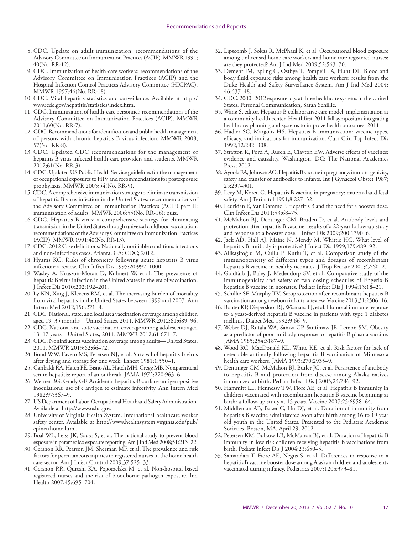- 8. CDC. Update on adult immunization: recommendations of the Advisory Committee on Immunization Practices (ACIP). MMWR 1991; 40(No. RR-12).
- 9. CDC. Immunization of health-care workers: recommendations of the Advisory Committee on Immunization Practices (ACIP) and the Hospital Infection Control Practices Advisory Committee (HICPAC). MMWR 1997;46(No. RR-18).
- 10. CDC. Viral hepatitis statistics and surveillance. Available at [http://](http://www.cdc.gov/hepatitis/statistics/index.htm) [www.cdc.gov/hepatitis/statistics/index.htm](http://www.cdc.gov/hepatitis/statistics/index.htm).
- 11. CDC. Immunization of health-care personnel: recommendations of the Advisory Committee on Immunization Practices (ACIP). MMWR 2011;60(No. RR-7).
- 12. CDC. Recommendations for identification and public health management of persons with chronic hepatitis B virus infection. MMWR 2008; 57(No. RR-8).
- 13. CDC. Updated CDC recommendations for the management of hepatitis B virus-infected health-care providers and students. MMWR 2012;61(No. RR-3).
- 14. CDC. Updated US Public Health Service guidelines for the management of occupational exposures to HIV and recommendations for postexposure prophylaxis. MMWR 2005;54(No. RR-9).
- 15. CDC. A comprehensive immunization strategy to eliminate transmission of hepatitis B virus infection in the United States: recommendations of the Advisory Committee on Immunization Practices (ACIP) part II: immunization of adults. MMWR 2006;55(No. RR-16); quiz.
- 16. CDC. Hepatitis B virus: a comprehensive strategy for eliminating transmission in the United States through universal childhood vaccination: recommendations of the Advisory Committee on Immunization Practices (ACIP). MMWR 1991;40(No. RR-13).
- 17. CDC. 2012 Case definitions: Nationally notifiable conditions infectious and non-infectious cases. Atlanta, GA: CDC; 2012.
- 18. Hyams KC. Risks of chronicity following acute hepatitis B virus infection: a review. Clin Infect Dis 1995;20:992–1000.
- 19. Wasley A, Kruszon-Moran D, Kuhnert W, et al. The prevalence of hepatitis B virus infection in the United States in the era of vaccination. J Infect Dis 2010;202:192–201.
- 20. Ly KN, Xing J, Klevens RM, et al. The increasing burden of mortality from viral hepatitis in the United States between 1999 and 2007. Ann Intern Med 2012;156:271–8.
- 21. CDC. National, state, and local area vaccination coverage among children aged 19–35 months—United States, 2011. MMWR 2012;61:689–96.
- 22. CDC. National and state vaccination coverage among adolescents aged 13–17 years—United States, 2011. MMWR 2012;61:671–7.
- 23. CDC. Noninfluenza vaccination coverage among adults—United States, 2011. MMWR 2013;62:66–72.
- 24. Bond WW, Favero MS, Petersen NJ, et al. Survival of hepatitis B virus after drying and storage for one week. Lancet 1981;1:550–1.
- 25. Garibaldi RA, Hatch FE, Bisno AL, Hatch MH, Gregg MB. Nonparenteral serum hepatitis: report of an outbreak. JAMA 1972;220:963–6.
- 26. Werner BG, Grady GF. Accidental hepatitis-B-surface-antigen-positive inoculations: use of e antigen to estimate infectivity. Ann Intern Med 1982;97:367–9.
- 27. US Department of Labor. Occupational Health and Safety Administration. Available at <http://www.osha.gov>.
- 28. University of Virginia Health System. International healthcare worker safety center. Available at [http://www.healthsystem.virginia.edu/pub/](http://www.healthsystem.virginia.edu/pub/epinet/home.html) [epinet/home.html.](http://www.healthsystem.virginia.edu/pub/epinet/home.html)
- 29. Boal WL, Leiss JK, Sousa S, et al. The national study to prevent blood exposure in paramedics: exposure reporting. Am J Ind Med 2008;51:213–22.
- 30. Gershon RR, Pearson JM, Sherman MF, et al. The prevalence and risk factors for percutaneous injuries in registered nurses in the home health care sector. Am J Infect Control 2009;37:525–33.
- 31. Gershon RR, Qureshi KA, Pogorzelska M, et al. Non-hospital based registered nurses and the risk of bloodborne pathogen exposure. Ind Health 2007;45:695–704.
- 32. Lipscomb J, Sokas R, McPhaul K, et al. Occupational blood exposure among unlicensed home care workers and home care registered nurses: are they protected? Am J Ind Med 2009;52:563–70.
- 33. Dement JM, Epling C, Ostbye T, Pompeii LA, Hunt DL. Blood and body fluid exposure risks among health care workers: results from the Duke Health and Safety Surveillance System. Am J Ind Med 2004; 46:637–48.
- 34. CDC. 2000–2012 exposure logs at three healthcare systems in the United States. Personal Communication, Sarah Schillie.
- 35. Wang S, editor. Hepatitis B collaborative care model: implementation at a community health center. Healthfirst 2011 fall symposium integrating healthcare: planning and systems to improve health outcomes; 2011.
- 36. Hadler SC, Margolis HS. Hepatitis B immunization: vaccine types, efficacy, and indications for immunization. Curr Clin Top Infect Dis 1992;12:282–308.
- 37. Stratton K, Ford A, Rusch E, Clayton EW. Adverse effects of vaccines: evidence and causality. Washington, DC: The National Academies Press; 2012.
- 38. Ayoola EA, Johnson AO. Hepatitis B vaccine in pregnancy: immunogenicity, safety and transfer of antibodies to infants. Int J Gynaecol Obstet 1987; 25:297–301.
- 39. Levy M, Koren G. Hepatitis B vaccine in pregnancy: maternal and fetal safety. Am J Perinatol 1991;8:227–32.
- 40. Leuridan E, Van Damme P. Hepatitis B and the need for a booster dose. Clin Infect Dis 2011;53:68–75.
- 41. McMahon BJ, Dentinger CM, Bruden D, et al. Antibody levels and protection after hepatitis B vaccine: results of a 22-year follow-up study and response to a booster dose. J Infect Dis 2009;200:1390–6.
- 42. Jack AD, Hall AJ, Maine N, Mendy M, Whittle HC. What level of hepatitis B antibody is protective? J Infect Dis 1999;179:489–92.
- 43. Alikaşifoğlu M, Cullu F, Kutlu T, et al. Comparison study of the immunogenicity of different types and dosages of recombinant hepatitis B vaccine in healthy neonates. J Trop Pediatr 2001;47:60-2.
- 44. Goldfarb J, Baley J, Medendorp SV, et al. Comparative study of the immunogenicity and safety of two dosing schedules of Engerix-B hepatitis B vaccine in neonates. Pediatr Infect Dis J 1994;13:18–21.
- 45. Schillie SF, Murphy TV. Seroprotection after recombinant hepatitis B vaccination among newborn infants: a review. Vaccine 2013;31:2506–16.
- 46. Bouter KP, Diepersloot RJ, Wismans PJ, et al. Humoral immune response to a yeast-derived hepatitis B vaccine in patients with type 1 diabetes mellitus. Diabet Med 1992;9:66–9.
- 47. Weber DJ, Rutala WA, Samsa GP, Santimaw JE, Lemon SM. Obesity as a predictor of poor antibody response to hepatitis B plasma vaccine. JAMA 1985;254:3187–9.
- 48. Wood RC, MacDonald KL, White KE, et al. Risk factors for lack of detectable antibody following hepatitis B vaccination of Minnesota health care workers. JAMA 1993;270:2935–9.
- 49. Dentinger CM, McMahon BJ, Butler JC, et al. Persistence of antibody to hepatitis B and protection from disease among Alaska natives immunized at birth. Pediatr Infect Dis J 2005;24:786–92.
- 50. Hammitt LL, Hennessy TW, Fiore AE, et al. Hepatitis B immunity in children vaccinated with recombinant hepatitis B vaccine beginning at birth: a follow-up study at 15 years. Vaccine 2007;25:6958–64.
- 51. Middleman AB, Baker C, Hu DJ, et al. Duration of immunity from hepatitis B vaccine administered soon after birth among 16 to 19 year old youth in the United States. Presented to the Pediatric Academic Societies, Boston, MA, April 29, 2012.
- 52. Petersen KM, Bulkow LR, McMahon BJ, et al. Duration of hepatitis B immunity in low risk children receiving hepatitis B vaccinations from birth. Pediatr Infect Dis J 2004;23:650–5.
- 53. Samandari T, Fiore AE, Negus S, et al. Differences in response to a hepatitis B vaccine booster dose among Alaskan children and adolescents vaccinated during infancy. Pediatrics 2007;120:e373–81.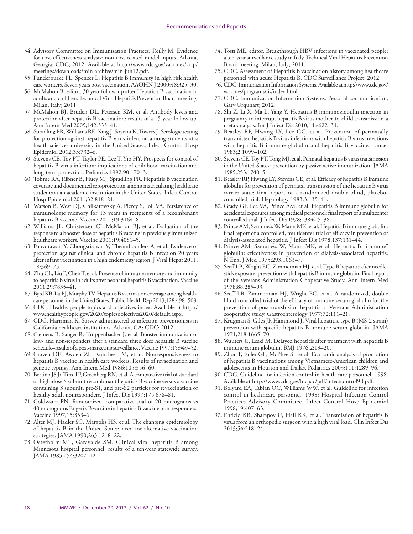- 54. Advisory Committee on Immunization Practices. Reilly M. Evidence for cost-effectiveness analysis: non-cost related model inputs. Atlanta, Georgia: CDC; 2012. Available at [http://www.cdc.gov/vaccines/acip/](http://www.cdc.gov/vaccines/acip/meetings/downloads/min-archive/min-jun12.pdf) [meetings/downloads/min-archive/min-jun12.pdf](http://www.cdc.gov/vaccines/acip/meetings/downloads/min-archive/min-jun12.pdf).
- 55. Funderburke PL, Spencer L. Hepatitis B immunity in high risk health care workers. Seven years post vaccination. AAOHN J 2000;48:325–30.
- 56. McMahon B, editor. 30 year follow-up after Hepatitis B vaccination in adults and children. Technical Viral Hepatitis Prevention Board meeting; Milan, Italy; 2011.
- 57. McMahon BJ, Bruden DL, Petersen KM, et al. Antibody levels and protection after hepatitis B vaccination: results of a 15-year follow-up. Ann Intern Med 2005;142:333–41.
- 58. Spradling PR, Williams RE, Xing J, Soyemi K, Towers J. Serologic testing for protection against hepatitis B virus infection among students at a health sciences university in the United States. Infect Control Hosp Epidemiol 2012;33:732–6.
- 59. Stevens CE, Toy PT, Taylor PE, Lee T, Yip HY. Prospects for control of hepatitis B virus infection: implications of childhood vaccination and long-term protection. Pediatrics 1992;90:170–3.
- 60. Tohme RA, Ribner B, Huey MJ, Spradling PR. Hepatitis B vaccination coverage and documented seroprotection among matriculating healthcare students at an academic institution in the United States. Infect Control Hosp Epidemiol 2011;32:818–21.
- 61. Watson B, West DJ, Chilkatowsky A, Piercy S, Ioli VA. Persistence of immunologic memory for 13 years in recipients of a recombinant hepatitis B vaccine. Vaccine 2001;19:3164-8.
- 62. Williams JL, Christensen CJ, McMahon BJ, et al. Evaluation of the response to a booster dose of hepatitis B vaccine in previously immunized healthcare workers. Vaccine 2001;19:4081–5.
- 63. Poovorawan Y, Chongsrisawat V, Theamboonlers A, et al. Evidence of protection against clinical and chronic hepatitis B infection 20 years after infant vaccination in a high endemicity region. J Viral Hepat 2011; 18:369–75.
- 64. Zhu CL, Liu P, Chen T, et al. Presence of immune memory and immunity to hepatitis B virus in adults after neonatal hepatitis B vaccination. Vaccine 2011;29:7835–41.
- 65. Byrd KB, Lu PJ, Murphy TV. Hepatitis B vaccination coverage among healthcare personnel in the United States. Public Health Rep 2013;128:498–509.
- 66. CDC. Healthy people topics and objectives index. Available at [http://](http://www.healthypeople.gov/2020/topicsobjectives2020/default.aspx) [www.healthypeople.gov/2020/topicsobjectives2020/default.aspx](http://www.healthypeople.gov/2020/topicsobjectives2020/default.aspx).
- 67. CDC. Harriman K. Survey administered to infection preventionists in California healthcare institutions. Atlanta, GA: CDC; 2012.
- 68. Clemens R, Sanger R, Kruppenbacher J, et al. Booster immunization of low- and non-responders after a standard three dose hepatitis B vaccine schedule–results of a post-marketing surveillance. Vaccine 1997;15:349–52.
- 69. Craven DE, Awdeh ZL, Kunches LM, et al. Nonresponsiveness to hepatitis B vaccine in health care workers. Results of revaccination and genetic typings. Ann Intern Med 1986;105:356–60.
- 70. Bertino JS Jr, Tirrell P, Greenberg RN, et al. A comparative trial of standard or high-dose S subunit recombinant hepatitis B vaccine versus a vaccine containing S subunit, pre-S1, and pre-S2 particles for revaccination of healthy adult nonresponders. J Infect Dis 1997;175:678-81.
- 71. Goldwater PN. Randomized, comparative trial of 20 micrograms vs 40 micrograms Engerix B vaccine in hepatitis B vaccine non-responders. Vaccine 1997;15:353–6.
- 72. Alter MJ, Hadler SC, Margolis HS, et al. The changing epidemiology of hepatitis B in the United States: need for alternative vaccination strategies. JAMA 1990;263:1218–22.
- 73. Osterholm MT, Garayalde SM. Clinical viral hepatitis B among Minnesota hospital personnel: results of a ten-year statewide survey. JAMA 1985;254:3207–12.
- 74. Tosti ME, editor. Breakthrough HBV infections in vaccinated people: a ten-year surveillance study in Italy. Technical Viral Hepatitis Prevention Board meeting. Milan, Italy; 2011.
- 75. CDC. Assessment of Hepatitis B vaccination history among healthcare personnel with acute Hepatitis B. CDC Surveillance Project; 2012.
- 76. CDC. Immunization Information Systems. Available at [http://www.cdc.gov/](http://www.cdc.gov/vaccines/programs/iis/index.html) [vaccines/programs/iis/index.html](http://www.cdc.gov/vaccines/programs/iis/index.html).
- 77. CDC. Immunization Information Systems. Personal communication, Gary Urquhart; 2012.
- 78. Shi Z, Li X, Ma L, Yang Y. Hepatitis B immunoglobulin injection in pregnancy to interrupt hepatitis B virus mother-to-child transmission-a meta-analysis. Int J Infect Dis 2010;14:e622–34.
- 79. Beasley RP, Hwang LY, Lee GC, et al. Prevention of perinatally transmitted hepatitis B virus infections with hepatitis B virus infections with hepatitis B immune globulin and hepatitis B vaccine. Lancet 1983;2:1099–102.
- 80. Stevens CE, Toy PT, Tong MJ, et al. Perinatal hepatitis B virus transmission in the United States: prevention by passive-active immunization. JAMA 1985;253:1740–5.
- 81. Beasley RP, Hwang LY, Stevens CE, et al. Efficacy of hepatitis B immune globulin for prevention of perinatal transmission of the hepatitis B virus carrier state: final report of a randomized double-blind, placebocontrolled trial. Hepatology 1983;3:135–41.
- 82. Grady GF, Lee VA, Prince AM, et al. Hepatitis B immune globulin for accidental exposures among medical personnel: final report of a multicenter controlled trial. J Infect Dis 1978;138:625–38.
- 83. Prince AM, Szmuness W, Mann MK, et al. Hepatitis B immune globulin: final report of a controlled, multicenter trial of efficacy in prevention of dialysis-associated hepatitis. J Infect Dis 1978;137:131–44.
- 84. Prince AM, Szmuness W, Mann MK, et al. Hepatitis B "immune" globulin: effectiveness in prevention of dialysis-associated hepatitis. N Engl J Med 1975;293:1063–7.
- 85. Seeff LB, Wright EC, Zimmerman HJ, et al. Type B hepatitis after needlestick exposure: prevention with hepatitis B immune globulin. Final report of the Veterans Administration Cooperative Study. Ann Intern Med 1978;88:285–93.
- 86. Seeff LB, Zimmerman HJ, Wright EC, et al. A randomized, double blind controlled trial of the efficacy of immune serum globulin for the prevention of post-transfusion hepatitis: a Veterans Administration cooperative study. Gastroenterology 1977;72:111–21.
- 87. Krugman S, Giles JP, Hammond J. Viral hepatitis, type B (MS-2 strain) prevention with specific hepatitis B immune serum globulin. JAMA 1971;218:1665–70.
- 88. Wauters JP, Leski M. Delayed hepatitis after treatment with hepatitis B immune serum globulin. BMJ 1976;2:19–20.
- 89. Zhou F, Euler GL, McPhee SJ, et al. Economic analysis of promotion of hepatitis B vaccinations among Vietnamese-American children and adolescents in Houston and Dallas. Pediatrics 2003;111:1289–96.
- 90. CDC. Guideline for infection control in health care personnel, 1998. Available at [http://www.cdc.gov/hicpac/pdf/infectcontrol98.pdf.](http://www.cdc.gov/hicpac/pdf/infectcontrol98.pdf)
- 91. Bolyard EA, Tablan OC, Williams WW, et al. Guideline for infection control in healthcare personnel, 1998: Hospital Infection Control Practices Advisory Committee. Infect Control Hosp Epidemiol 1998;19:407–63.
- 92. Enfield KB, Sharapov U, Hall KK, et al. Transmission of hepatitis B virus from an orthopedic surgeon with a high viral load. Clin Infect Dis 2013;56:218–24.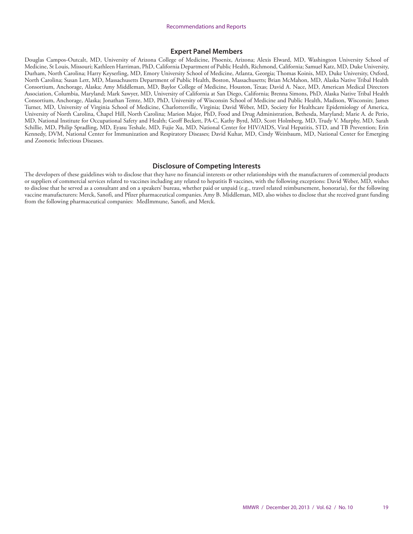#### **Expert Panel Members**

Douglas Campos-Outcalt, MD, University of Arizona College of Medicine, Phoenix, Arizona; Alexis Elward, MD, Washington University School of Medicine, St Louis, Missouri; Kathleen Harriman, PhD, California Department of Public Health, Richmond, California; Samuel Katz, MD, Duke University, Durham, North Carolina; Harry Keyserling, MD, Emory University School of Medicine, Atlanta, Georgia; Thomas Koinis, MD, Duke University, Oxford, North Carolina; Susan Lett, MD, Massachusetts Department of Public Health, Boston, Massachusetts; Brian McMahon, MD, Alaska Native Tribal Health Consortium, Anchorage, Alaska; Amy Middleman, MD, Baylor College of Medicine, Houston, Texas; David A. Nace, MD, American Medical Directors Association, Columbia, Maryland; Mark Sawyer, MD, University of California at San Diego, California; Brenna Simons, PhD, Alaska Native Tribal Health Consortium, Anchorage, Alaska; Jonathan Temte, MD, PhD, University of Wisconsin School of Medicine and Public Health, Madison, Wisconsin; James Turner, MD, University of Virginia School of Medicine, Charlottesville, Virginia; David Weber, MD, Society for Healthcare Epidemiology of America, University of North Carolina, Chapel Hill, North Carolina; Marion Major, PhD, Food and Drug Administration, Bethesda, Maryland; Marie A. de Perio, MD, National Institute for Occupational Safety and Health; Geoff Beckett, PA-C, Kathy Byrd, MD, Scott Holmberg, MD, Trudy V. Murphy, MD, Sarah Schillie, MD, Philip Spradling, MD, Eyasu Teshale, MD, Fujie Xu, MD, National Center for HIV/AIDS, Viral Hepatitis, STD, and TB Prevention; Erin Kennedy, DVM, National Center for Immunization and Respiratory Diseases; David Kuhar, MD, Cindy Weinbaum, MD, National Center for Emerging and Zoonotic Infectious Diseases.

#### **Disclosure of Competing Interests**

The developers of these guidelines wish to disclose that they have no financial interests or other relationships with the manufacturers of commercial products or suppliers of commercial services related to vaccines including any related to hepatitis B vaccines, with the following exceptions: David Weber, MD, wishes to disclose that he served as a consultant and on a speakers' bureau, whether paid or unpaid (e.g., travel related reimbursement, honoraria), for the following vaccine manufacturers: Merck, Sanofi, and Pfizer pharmaceutical companies. Amy B. Middleman, MD, also wishes to disclose that she received grant funding from the following pharmaceutical companies: MedImmune, Sanofi, and Merck.